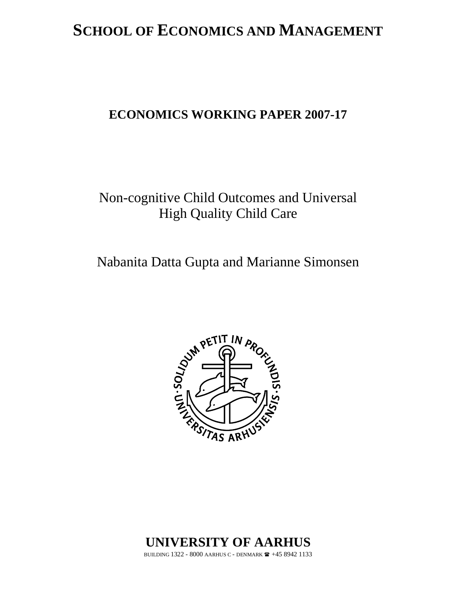# **SCHOOL OF ECONOMICS AND MANAGEMENT**

## **ECONOMICS WORKING PAPER 2007-17**

## Non-cognitive Child Outcomes and Universal High Quality Child Care

Nabanita Datta Gupta and Marianne Simonsen



## **UNIVERSITY OF AARHUS**

BUILDING 1322 - 8000 AARHUS C - DENMARK  $\mathbf{\mathfrak{B}}$  +45 8942 1133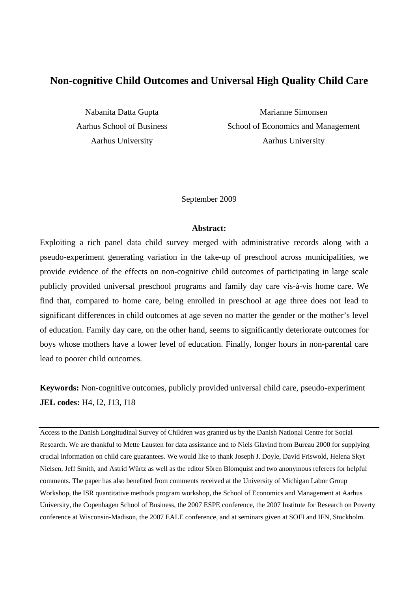## **Non-cognitive Child Outcomes and Universal High Quality Child Care**

Aarhus School of Business Aarhus University

Nabanita Datta Gupta Marianne Simonsen School of Economics and Management Aarhus University

September 2009

#### **Abstract:**

Exploiting a rich panel data child survey merged with administrative records along with a pseudo-experiment generating variation in the take-up of preschool across municipalities, we provide evidence of the effects on non-cognitive child outcomes of participating in large scale publicly provided universal preschool programs and family day care vis-à-vis home care. We find that, compared to home care, being enrolled in preschool at age three does not lead to significant differences in child outcomes at age seven no matter the gender or the mother's level of education. Family day care, on the other hand, seems to significantly deteriorate outcomes for boys whose mothers have a lower level of education. Finally, longer hours in non-parental care lead to poorer child outcomes.

**Keywords:** Non-cognitive outcomes, publicly provided universal child care, pseudo-experiment **JEL codes:** H4, I2, J13, J18

Access to the Danish Longitudinal Survey of Children was granted us by the Danish National Centre for Social Research. We are thankful to Mette Lausten for data assistance and to Niels Glavind from Bureau 2000 for supplying crucial information on child care guarantees. We would like to thank Joseph J. Doyle, David Friswold, Helena Skyt Nielsen, Jeff Smith, and Astrid Würtz as well as the editor Sören Blomquist and two anonymous referees for helpful comments. The paper has also benefited from comments received at the University of Michigan Labor Group Workshop, the ISR quantitative methods program workshop, the School of Economics and Management at Aarhus University, the Copenhagen School of Business, the 2007 ESPE conference, the 2007 Institute for Research on Poverty conference at Wisconsin-Madison, the 2007 EALE conference, and at seminars given at SOFI and IFN, Stockholm.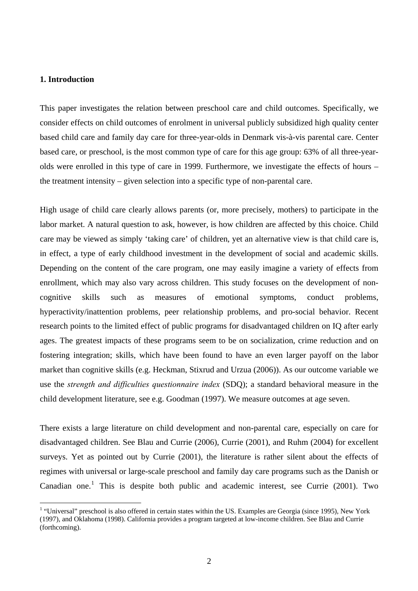#### **1. Introduction**

 $\overline{a}$ 

This paper investigates the relation between preschool care and child outcomes. Specifically, we consider effects on child outcomes of enrolment in universal publicly subsidized high quality center based child care and family day care for three-year-olds in Denmark vis-à-vis parental care. Center based care, or preschool, is the most common type of care for this age group: 63% of all three-yearolds were enrolled in this type of care in 1999. Furthermore, we investigate the effects of hours – the treatment intensity – given selection into a specific type of non-parental care.

High usage of child care clearly allows parents (or, more precisely, mothers) to participate in the labor market. A natural question to ask, however, is how children are affected by this choice. Child care may be viewed as simply 'taking care' of children, yet an alternative view is that child care is, in effect, a type of early childhood investment in the development of social and academic skills. Depending on the content of the care program, one may easily imagine a variety of effects from enrollment, which may also vary across children. This study focuses on the development of noncognitive skills such as measures of emotional symptoms, conduct problems, hyperactivity/inattention problems, peer relationship problems, and pro-social behavior. Recent research points to the limited effect of public programs for disadvantaged children on IQ after early ages. The greatest impacts of these programs seem to be on socialization, crime reduction and on fostering integration; skills, which have been found to have an even larger payoff on the labor market than cognitive skills (e.g. Heckman, Stixrud and Urzua (2006)). As our outcome variable we use the *strength and difficulties questionnaire index* (SDQ); a standard behavioral measure in the child development literature, see e.g. Goodman (1997). We measure outcomes at age seven.

There exists a large literature on child development and non-parental care, especially on care for disadvantaged children. See Blau and Currie (2006), Currie (2001), and Ruhm (2004) for excellent surveys. Yet as pointed out by Currie (2001), the literature is rather silent about the effects of regimes with universal or large-scale preschool and family day care programs such as the Danish or Canadian one.<sup>[1](#page-2-0)</sup> This is despite both public and academic interest, see Currie (2001). Two

<span id="page-2-0"></span><sup>&</sup>lt;sup>1</sup> "Universal" preschool is also offered in certain states within the US. Examples are Georgia (since 1995), New York (1997), and Oklahoma (1998). California provides a program targeted at low-income children. See Blau and Currie (forthcoming).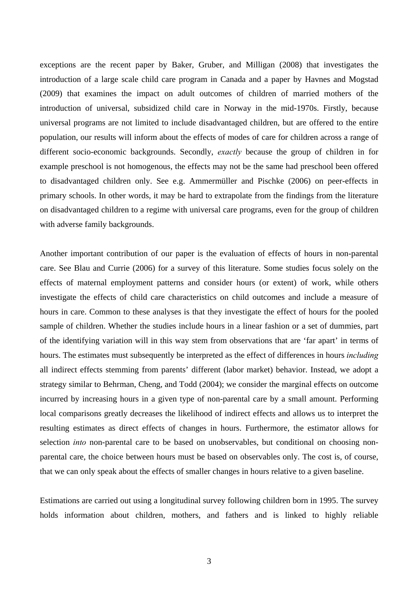exceptions are the recent paper by Baker, Gruber, and Milligan (2008) that investigates the introduction of a large scale child care program in Canada and a paper by Havnes and Mogstad (2009) that examines the impact on adult outcomes of children of married mothers of the introduction of universal, subsidized child care in Norway in the mid-1970s. Firstly, because universal programs are not limited to include disadvantaged children, but are offered to the entire population, our results will inform about the effects of modes of care for children across a range of different socio-economic backgrounds. Secondly, *exactly* because the group of children in for example preschool is not homogenous, the effects may not be the same had preschool been offered to disadvantaged children only. See e.g. Ammermüller and Pischke (2006) on peer-effects in primary schools. In other words, it may be hard to extrapolate from the findings from the literature on disadvantaged children to a regime with universal care programs, even for the group of children with adverse family backgrounds.

Another important contribution of our paper is the evaluation of effects of hours in non-parental care. See Blau and Currie (2006) for a survey of this literature. Some studies focus solely on the effects of maternal employment patterns and consider hours (or extent) of work, while others investigate the effects of child care characteristics on child outcomes and include a measure of hours in care. Common to these analyses is that they investigate the effect of hours for the pooled sample of children. Whether the studies include hours in a linear fashion or a set of dummies, part of the identifying variation will in this way stem from observations that are 'far apart' in terms of hours. The estimates must subsequently be interpreted as the effect of differences in hours *including*  all indirect effects stemming from parents' different (labor market) behavior. Instead, we adopt a strategy similar to Behrman, Cheng, and Todd (2004); we consider the marginal effects on outcome incurred by increasing hours in a given type of non-parental care by a small amount. Performing local comparisons greatly decreases the likelihood of indirect effects and allows us to interpret the resulting estimates as direct effects of changes in hours. Furthermore, the estimator allows for selection *into* non-parental care to be based on unobservables, but conditional on choosing nonparental care, the choice between hours must be based on observables only. The cost is, of course, that we can only speak about the effects of smaller changes in hours relative to a given baseline.

Estimations are carried out using a longitudinal survey following children born in 1995. The survey holds information about children, mothers, and fathers and is linked to highly reliable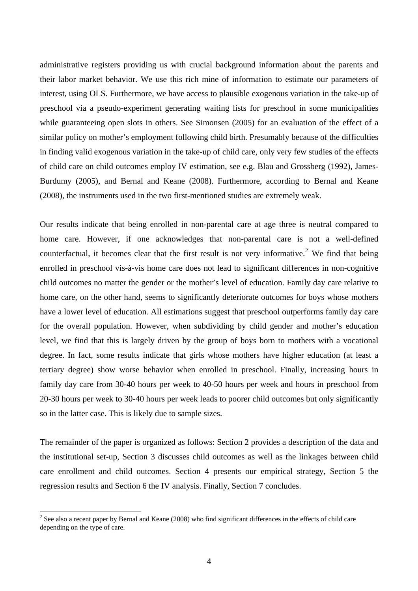<span id="page-4-0"></span>administrative registers providing us with crucial background information about the parents and their labor market behavior. We use this rich mine of information to estimate our parameters of interest, using OLS. Furthermore, we have access to plausible exogenous variation in the take-up of preschool via a pseudo-experiment generating waiting lists for preschool in some municipalities while guaranteeing open slots in others. See Simonsen (2005) for an evaluation of the effect of a similar policy on mother's employment following child birth. Presumably because of the difficulties in finding valid exogenous variation in the take-up of child care, only very few studies of the effects of child care on child outcomes employ IV estimation, see e.g. Blau and Grossberg (1992), James-Burdumy (2005), and Bernal and Keane (2008). Furthermore, according to Bernal and Keane (2008), the instruments used in the two first-mentioned studies are extremely weak.

Our results indicate that being enrolled in non-parental care at age three is neutral compared to home care. However, if one acknowledges that non-parental care is not a well-defined counterfactual, it becomes clear that the first result is not very informative.<sup>[2](#page-4-0)</sup> We find that being enrolled in preschool vis-à-vis home care does not lead to significant differences in non-cognitive child outcomes no matter the gender or the mother's level of education. Family day care relative to home care, on the other hand, seems to significantly deteriorate outcomes for boys whose mothers have a lower level of education. All estimations suggest that preschool outperforms family day care for the overall population. However, when subdividing by child gender and mother's education level, we find that this is largely driven by the group of boys born to mothers with a vocational degree. In fact, some results indicate that girls whose mothers have higher education (at least a tertiary degree) show worse behavior when enrolled in preschool. Finally, increasing hours in family day care from 30-40 hours per week to 40-50 hours per week and hours in preschool from 20-30 hours per week to 30-40 hours per week leads to poorer child outcomes but only significantly so in the latter case. This is likely due to sample sizes.

The remainder of the paper is organized as follows: Section 2 provides a description of the data and the institutional set-up, Section 3 discusses child outcomes as well as the linkages between child care enrollment and child outcomes. Section 4 presents our empirical strategy, Section 5 the regression results and Section 6 the IV analysis. Finally, Section 7 concludes.

 $\overline{a}$ 

 $2^2$  See also a recent paper by Bernal and Keane (2008) who find significant differences in the effects of child care depending on the type of care.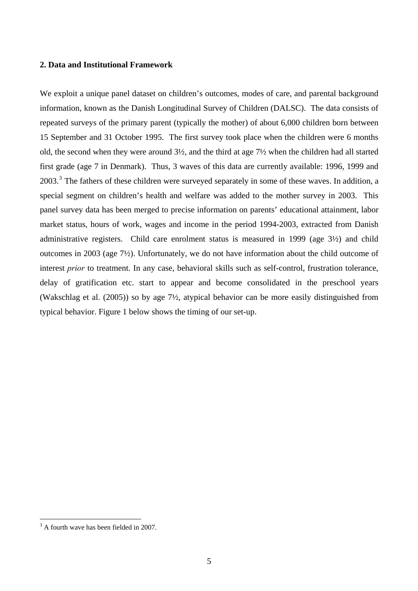#### <span id="page-5-0"></span>**2. Data and Institutional Framework**

We exploit a unique panel dataset on children's outcomes, modes of care, and parental background information, known as the Danish Longitudinal Survey of Children (DALSC). The data consists of repeated surveys of the primary parent (typically the mother) of about 6,000 children born between 15 September and 31 October 1995. The first survey took place when the children were 6 months old, the second when they were around 3½, and the third at age 7½ when the children had all started first grade (age 7 in Denmark). Thus, 3 waves of this data are currently available: 1996, 1999 and 200[3](#page-5-0).<sup>3</sup> The fathers of these children were surveyed separately in some of these waves. In addition, a special segment on children's health and welfare was added to the mother survey in 2003. This panel survey data has been merged to precise information on parents' educational attainment, labor market status, hours of work, wages and income in the period 1994-2003, extracted from Danish administrative registers. Child care enrolment status is measured in 1999 (age 3½) and child outcomes in 2003 (age 7½). Unfortunately, we do not have information about the child outcome of interest *prior* to treatment. In any case, behavioral skills such as self-control, frustration tolerance, delay of gratification etc. start to appear and become consolidated in the preschool years (Wakschlag et al. (2005)) so by age 7½, atypical behavior can be more easily distinguished from typical behavior. Figure 1 below shows the timing of our set-up.

<sup>&</sup>lt;sup>3</sup> A fourth wave has been fielded in 2007.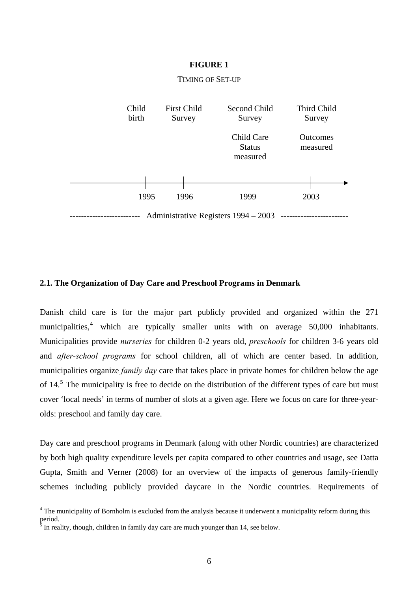## **FIGURE 1**

<span id="page-6-0"></span>

#### TIMING OF SET-UP

### **2.1. The Organization of Day Care and Preschool Programs in Denmark**

Danish child care is for the major part publicly provided and organized within the 271 municipalities,<sup>[4](#page-6-0)</sup> which are typically smaller units with on average 50,000 inhabitants. Municipalities provide *nurseries* for children 0-2 years old, *preschools* for children 3-6 years old and *after-school programs* for school children, all of which are center based. In addition, municipalities organize *family day* care that takes place in private homes for children below the age of 14.<sup>[5](#page-6-0)</sup> The municipality is free to decide on the distribution of the different types of care but must cover 'local needs' in terms of number of slots at a given age. Here we focus on care for three-yearolds: preschool and family day care.

Day care and preschool programs in Denmark (along with other Nordic countries) are characterized by both high quality expenditure levels per capita compared to other countries and usage, see Datta Gupta, Smith and Verner (2008) for an overview of the impacts of generous family-friendly schemes including publicly provided daycare in the Nordic countries. Requirements of

<sup>&</sup>lt;sup>4</sup> The municipality of Bornholm is excluded from the analysis because it underwent a municipality reform during this period. 5

In reality, though, children in family day care are much younger than 14, see below.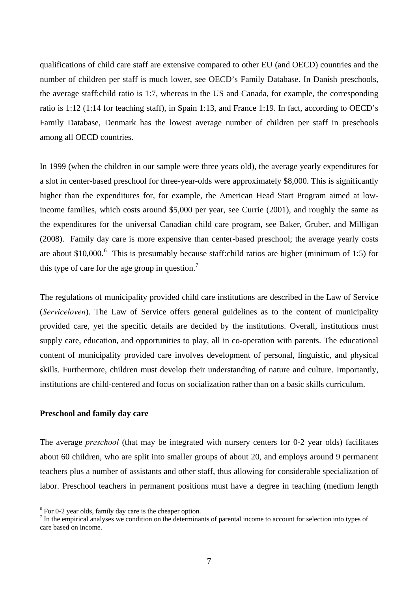<span id="page-7-0"></span>qualifications of child care staff are extensive compared to other EU (and OECD) countries and the number of children per staff is much lower, see OECD's Family Database. In Danish preschools, the average staff:child ratio is 1:7, whereas in the US and Canada, for example, the corresponding ratio is 1:12 (1:14 for teaching staff), in Spain 1:13, and France 1:19. In fact, according to OECD's Family Database, Denmark has the lowest average number of children per staff in preschools among all OECD countries.

In 1999 (when the children in our sample were three years old), the average yearly expenditures for a slot in center-based preschool for three-year-olds were approximately \$8,000. This is significantly higher than the expenditures for, for example, the American Head Start Program aimed at lowincome families, which costs around \$5,000 per year, see Currie (2001), and roughly the same as the expenditures for the universal Canadian child care program, see Baker, Gruber, and Milligan (2008). Family day care is more expensive than center-based preschool; the average yearly costs are about \$10,000.<sup>[6](#page-7-0)</sup> This is presumably because staff: child ratios are higher (minimum of 1:5) for this type of care for the age group in question.<sup>[7](#page-7-0)</sup>

The regulations of municipality provided child care institutions are described in the Law of Service (*Serviceloven*). The Law of Service offers general guidelines as to the content of municipality provided care, yet the specific details are decided by the institutions. Overall, institutions must supply care, education, and opportunities to play, all in co-operation with parents. The educational content of municipality provided care involves development of personal, linguistic, and physical skills. Furthermore, children must develop their understanding of nature and culture. Importantly, institutions are child-centered and focus on socialization rather than on a basic skills curriculum.

#### **Preschool and family day care**

 $\overline{a}$ 

The average *preschool* (that may be integrated with nursery centers for 0-2 year olds) facilitates about 60 children, who are split into smaller groups of about 20, and employs around 9 permanent teachers plus a number of assistants and other staff, thus allowing for considerable specialization of labor. Preschool teachers in permanent positions must have a degree in teaching (medium length

 $6$  For 0-2 year olds, family day care is the cheaper option.

 $<sup>7</sup>$  In the empirical analyses we condition on the determinants of parental income to account for selection into types of</sup> care based on income.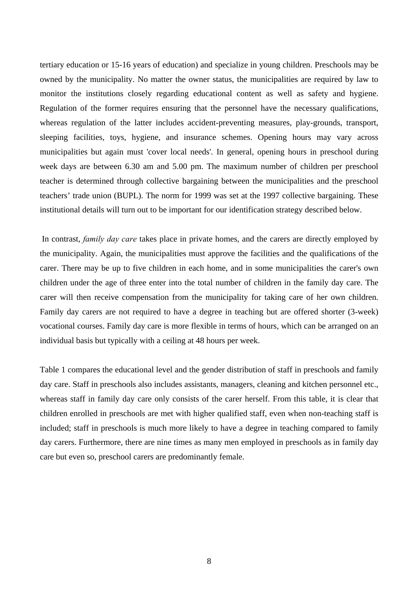tertiary education or 15-16 years of education) and specialize in young children. Preschools may be owned by the municipality. No matter the owner status, the municipalities are required by law to monitor the institutions closely regarding educational content as well as safety and hygiene. Regulation of the former requires ensuring that the personnel have the necessary qualifications, whereas regulation of the latter includes accident-preventing measures, play-grounds, transport, sleeping facilities, toys, hygiene, and insurance schemes. Opening hours may vary across municipalities but again must 'cover local needs'. In general, opening hours in preschool during week days are between 6.30 am and 5.00 pm. The maximum number of children per preschool teacher is determined through collective bargaining between the municipalities and the preschool teachers' trade union (BUPL). The norm for 1999 was set at the 1997 collective bargaining. These institutional details will turn out to be important for our identification strategy described below.

 In contrast, *family day care* takes place in private homes, and the carers are directly employed by the municipality. Again, the municipalities must approve the facilities and the qualifications of the carer. There may be up to five children in each home, and in some municipalities the carer's own children under the age of three enter into the total number of children in the family day care. The carer will then receive compensation from the municipality for taking care of her own children. Family day carers are not required to have a degree in teaching but are offered shorter (3-week) vocational courses. Family day care is more flexible in terms of hours, which can be arranged on an individual basis but typically with a ceiling at 48 hours per week.

Table 1 compares the educational level and the gender distribution of staff in preschools and family day care. Staff in preschools also includes assistants, managers, cleaning and kitchen personnel etc., whereas staff in family day care only consists of the carer herself. From this table, it is clear that children enrolled in preschools are met with higher qualified staff, even when non-teaching staff is included; staff in preschools is much more likely to have a degree in teaching compared to family day carers. Furthermore, there are nine times as many men employed in preschools as in family day care but even so, preschool carers are predominantly female.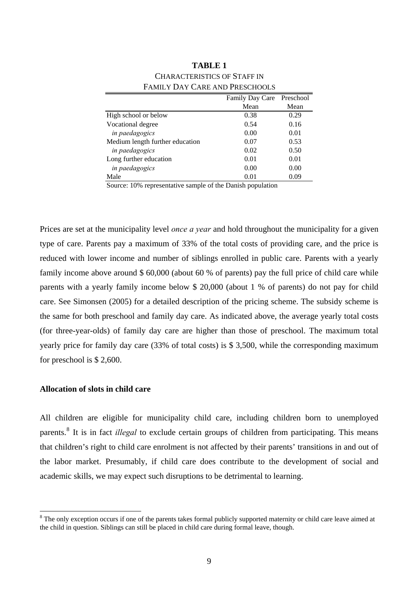<span id="page-9-0"></span>

|                                 | Family Day Care | Preschool |
|---------------------------------|-----------------|-----------|
|                                 | Mean            | Mean      |
| High school or below            | 0.38            | 0.29      |
| Vocational degree               | 0.54            | 0.16      |
| in paedagogics                  | 0.00            | 0.01      |
| Medium length further education | 0.07            | 0.53      |
| in paedagogics                  | 0.02            | 0.50      |
| Long further education          | 0.01            | 0.01      |
| in paedagogics                  | 0.00            | 0.00      |
| Male                            | 0.01            | 0.09      |

## **TABLE 1** CHARACTERISTICS OF STAFF IN FAMILY DAY CARE AND PRESCHOOLS

Source: 10% representative sample of the Danish population

Prices are set at the municipality level *once a year* and hold throughout the municipality for a given type of care. Parents pay a maximum of 33% of the total costs of providing care, and the price is reduced with lower income and number of siblings enrolled in public care. Parents with a yearly family income above around \$ 60,000 (about 60 % of parents) pay the full price of child care while parents with a yearly family income below \$ 20,000 (about 1 % of parents) do not pay for child care. See Simonsen (2005) for a detailed description of the pricing scheme. The subsidy scheme is the same for both preschool and family day care. As indicated above, the average yearly total costs (for three-year-olds) of family day care are higher than those of preschool. The maximum total yearly price for family day care (33% of total costs) is \$ 3,500, while the corresponding maximum for preschool is \$ 2,600.

## **Allocation of slots in child care**

 $\overline{a}$ 

All children are eligible for municipality child care, including children born to unemployed parents.[8](#page-9-0) It is in fact *illegal* to exclude certain groups of children from participating. This means that children's right to child care enrolment is not affected by their parents' transitions in and out of the labor market. Presumably, if child care does contribute to the development of social and academic skills, we may expect such disruptions to be detrimental to learning.

<sup>&</sup>lt;sup>8</sup> The only exception occurs if one of the parents takes formal publicly supported maternity or child care leave aimed at the child in question. Siblings can still be placed in child care during formal leave, though.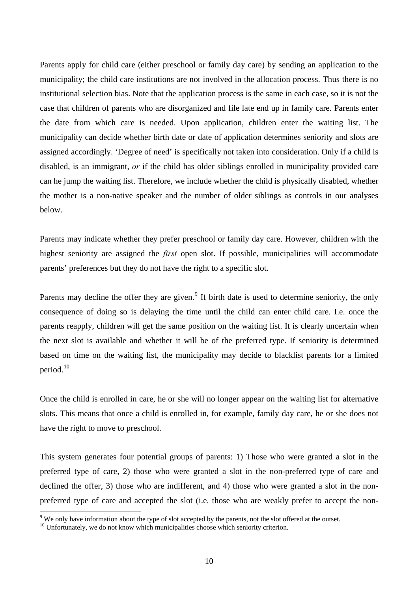<span id="page-10-0"></span>Parents apply for child care (either preschool or family day care) by sending an application to the municipality; the child care institutions are not involved in the allocation process. Thus there is no institutional selection bias. Note that the application process is the same in each case, so it is not the case that children of parents who are disorganized and file late end up in family care. Parents enter the date from which care is needed. Upon application, children enter the waiting list. The municipality can decide whether birth date or date of application determines seniority and slots are assigned accordingly. 'Degree of need' is specifically not taken into consideration. Only if a child is disabled, is an immigrant, *or* if the child has older siblings enrolled in municipality provided care can he jump the waiting list. Therefore, we include whether the child is physically disabled, whether the mother is a non-native speaker and the number of older siblings as controls in our analyses below.

Parents may indicate whether they prefer preschool or family day care. However, children with the highest seniority are assigned the *first* open slot. If possible, municipalities will accommodate parents' preferences but they do not have the right to a specific slot.

Parents may decline the offer they are given.<sup>[9](#page-10-0)</sup> If birth date is used to determine seniority, the only consequence of doing so is delaying the time until the child can enter child care. I.e. once the parents reapply, children will get the same position on the waiting list. It is clearly uncertain when the next slot is available and whether it will be of the preferred type. If seniority is determined based on time on the waiting list, the municipality may decide to blacklist parents for a limited period.<sup>[10](#page-10-0)</sup>

Once the child is enrolled in care, he or she will no longer appear on the waiting list for alternative slots. This means that once a child is enrolled in, for example, family day care, he or she does not have the right to move to preschool.

This system generates four potential groups of parents: 1) Those who were granted a slot in the preferred type of care, 2) those who were granted a slot in the non-preferred type of care and declined the offer, 3) those who are indifferent, and 4) those who were granted a slot in the nonpreferred type of care and accepted the slot (i.e. those who are weakly prefer to accept the non-

 $\overline{a}$ 

 $9$  We only have information about the type of slot accepted by the parents, not the slot offered at the outset.

<sup>&</sup>lt;sup>10</sup> Unfortunately, we do not know which municipalities choose which seniority criterion.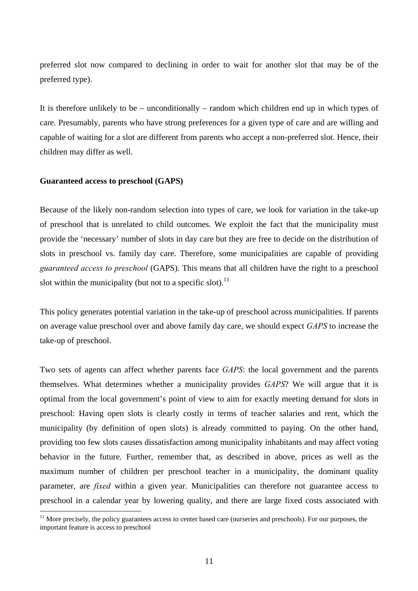<span id="page-11-0"></span>preferred slot now compared to declining in order to wait for another slot that may be of the preferred type).

It is therefore unlikely to be – unconditionally – random which children end up in which types of care. Presumably, parents who have strong preferences for a given type of care and are willing and capable of waiting for a slot are different from parents who accept a non-preferred slot. Hence, their children may differ as well.

## **Guaranteed access to preschool (GAPS)**

 $\overline{a}$ 

Because of the likely non-random selection into types of care, we look for variation in the take-up of preschool that is unrelated to child outcomes. We exploit the fact that the municipality must provide the 'necessary' number of slots in day care but they are free to decide on the distribution of slots in preschool vs. family day care. Therefore, some municipalities are capable of providing *guaranteed access to preschool* (GAPS). This means that all children have the right to a preschool slot within the municipality (but not to a specific slot).<sup>[11](#page-11-0)</sup>

This policy generates potential variation in the take-up of preschool across municipalities. If parents on average value preschool over and above family day care, we should expect *GAPS* to increase the take-up of preschool.

Two sets of agents can affect whether parents face *GAPS*: the local government and the parents themselves. What determines whether a municipality provides *GAPS*? We will argue that it is optimal from the local government's point of view to aim for exactly meeting demand for slots in preschool: Having open slots is clearly costly in terms of teacher salaries and rent, which the municipality (by definition of open slots) is already committed to paying. On the other hand, providing too few slots causes dissatisfaction among municipality inhabitants and may affect voting behavior in the future. Further, remember that, as described in above, prices as well as the maximum number of children per preschool teacher in a municipality, the dominant quality parameter, are *fixed* within a given year. Municipalities can therefore not guarantee access to preschool in a calendar year by lowering quality, and there are large fixed costs associated with

 $11$  More precisely, the policy guarantees access to center based care (nurseries and preschools). For our purposes, the important feature is access to preschool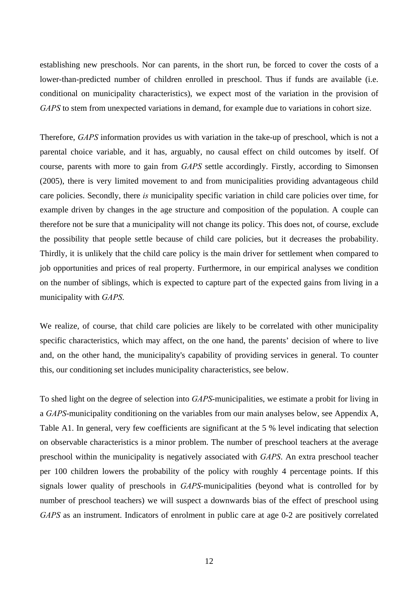establishing new preschools. Nor can parents, in the short run, be forced to cover the costs of a lower-than-predicted number of children enrolled in preschool. Thus if funds are available (i.e. conditional on municipality characteristics), we expect most of the variation in the provision of *GAPS* to stem from unexpected variations in demand, for example due to variations in cohort size.

Therefore, *GAPS* information provides us with variation in the take-up of preschool, which is not a parental choice variable, and it has, arguably, no causal effect on child outcomes by itself. Of course, parents with more to gain from *GAPS* settle accordingly. Firstly, according to Simonsen (2005), there is very limited movement to and from municipalities providing advantageous child care policies. Secondly, there *is* municipality specific variation in child care policies over time, for example driven by changes in the age structure and composition of the population. A couple can therefore not be sure that a municipality will not change its policy. This does not, of course, exclude the possibility that people settle because of child care policies, but it decreases the probability. Thirdly, it is unlikely that the child care policy is the main driver for settlement when compared to job opportunities and prices of real property. Furthermore, in our empirical analyses we condition on the number of siblings, which is expected to capture part of the expected gains from living in a municipality with *GAPS*.

We realize, of course, that child care policies are likely to be correlated with other municipality specific characteristics, which may affect, on the one hand, the parents' decision of where to live and, on the other hand, the municipality's capability of providing services in general. To counter this, our conditioning set includes municipality characteristics, see below.

To shed light on the degree of selection into *GAPS*-municipalities, we estimate a probit for living in a *GAPS*-municipality conditioning on the variables from our main analyses below, see Appendix A, Table A1. In general, very few coefficients are significant at the 5 % level indicating that selection on observable characteristics is a minor problem. The number of preschool teachers at the average preschool within the municipality is negatively associated with *GAPS*. An extra preschool teacher per 100 children lowers the probability of the policy with roughly 4 percentage points. If this signals lower quality of preschools in *GAPS*-municipalities (beyond what is controlled for by number of preschool teachers) we will suspect a downwards bias of the effect of preschool using *GAPS* as an instrument. Indicators of enrolment in public care at age 0-2 are positively correlated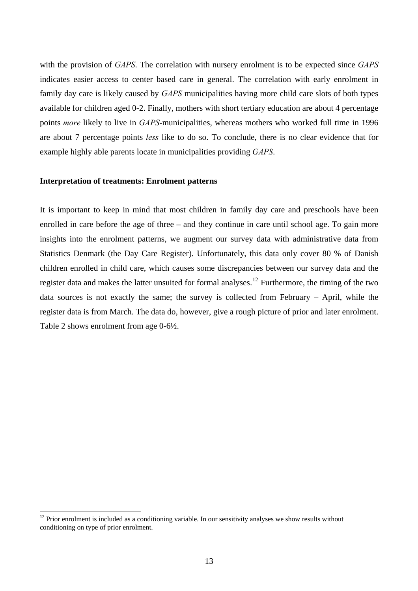<span id="page-13-0"></span>with the provision of *GAPS*. The correlation with nursery enrolment is to be expected since *GAPS* indicates easier access to center based care in general. The correlation with early enrolment in family day care is likely caused by *GAPS* municipalities having more child care slots of both types available for children aged 0-2. Finally, mothers with short tertiary education are about 4 percentage points *more* likely to live in *GAPS*-municipalities, whereas mothers who worked full time in 1996 are about 7 percentage points *less* like to do so. To conclude, there is no clear evidence that for example highly able parents locate in municipalities providing *GAPS*.

#### **Interpretation of treatments: Enrolment patterns**

It is important to keep in mind that most children in family day care and preschools have been enrolled in care before the age of three – and they continue in care until school age. To gain more insights into the enrolment patterns, we augment our survey data with administrative data from Statistics Denmark (the Day Care Register). Unfortunately, this data only cover 80 % of Danish children enrolled in child care, which causes some discrepancies between our survey data and the register data and makes the latter unsuited for formal analyses.<sup>[12](#page-13-0)</sup> Furthermore, the timing of the two data sources is not exactly the same; the survey is collected from February – April, while the register data is from March. The data do, however, give a rough picture of prior and later enrolment. Table 2 shows enrolment from age 0-6½.

 $\overline{a}$ 

 $12$  Prior enrolment is included as a conditioning variable. In our sensitivity analyses we show results without conditioning on type of prior enrolment.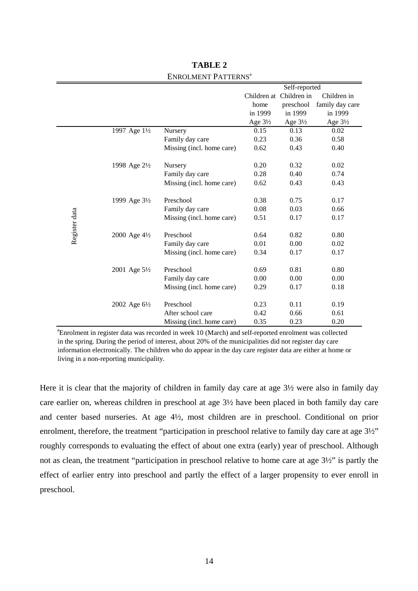|               |               |                           |                    | Self-reported           |                    |
|---------------|---------------|---------------------------|--------------------|-------------------------|--------------------|
|               |               |                           |                    | Children at Children in | Children in        |
|               |               |                           | home               | preschool               | family day care    |
|               |               |                           | in 1999            | in 1999                 | in 1999            |
|               |               |                           | Age $3\frac{1}{2}$ | Age $3\frac{1}{2}$      | Age $3\frac{1}{2}$ |
|               | 1997 Age 11/2 | Nursery                   | 0.15               | 0.13                    | 0.02               |
|               |               | Family day care           | 0.23               | 0.36                    | 0.58               |
|               |               | Missing (incl. home care) | 0.62               | 0.43                    | 0.40               |
|               |               |                           |                    |                         |                    |
|               | 1998 Age 21/2 | Nursery                   | 0.20               | 0.32                    | 0.02               |
|               |               | Family day care           | 0.28               | 0.40                    | 0.74               |
|               |               | Missing (incl. home care) | 0.62               | 0.43                    | 0.43               |
|               |               |                           |                    |                         |                    |
|               | 1999 Age 31/2 | Preschool                 | 0.38               | 0.75                    | 0.17               |
|               |               | Family day care           | 0.08               | 0.03                    | 0.66               |
|               |               | Missing (incl. home care) | 0.51               | 0.17                    | 0.17               |
| Register data | 2000 Age 41/2 | Preschool                 | 0.64               | 0.82                    | 0.80               |
|               |               | Family day care           | 0.01               | 0.00                    | 0.02               |
|               |               | Missing (incl. home care) | 0.34               | 0.17                    | 0.17               |
|               |               |                           |                    |                         |                    |
|               | 2001 Age 51/2 | Preschool                 | 0.69               | 0.81                    | 0.80               |
|               |               | Family day care           | 0.00               | 0.00                    | 0.00               |
|               |               | Missing (incl. home care) | 0.29               | 0.17                    | 0.18               |
|               |               |                           |                    |                         |                    |
|               | 2002 Age 61/2 | Preschool                 | 0.23               | 0.11                    | 0.19               |
|               |               | After school care         | 0.42               | 0.66                    | 0.61               |
|               |               | Missing (incl. home care) | 0.35               | 0.23                    | 0.20               |

**TABLE 2** ENROLMENT PATTERNS<sup>a</sup>

<sup>a</sup>Enrolment in register data was recorded in week 10 (March) and self-reported enrolment was collected in the spring. During the period of interest, about 20% of the municipalities did not register day care information electronically. The children who do appear in the day care register data are either at home or living in a non-reporting municipality.

Here it is clear that the majority of children in family day care at age 3½ were also in family day care earlier on, whereas children in preschool at age 3½ have been placed in both family day care and center based nurseries. At age 4½, most children are in preschool. Conditional on prior enrolment, therefore, the treatment "participation in preschool relative to family day care at age  $3\frac{1}{2}$ " roughly corresponds to evaluating the effect of about one extra (early) year of preschool. Although not as clean, the treatment "participation in preschool relative to home care at age 3½" is partly the effect of earlier entry into preschool and partly the effect of a larger propensity to ever enroll in preschool.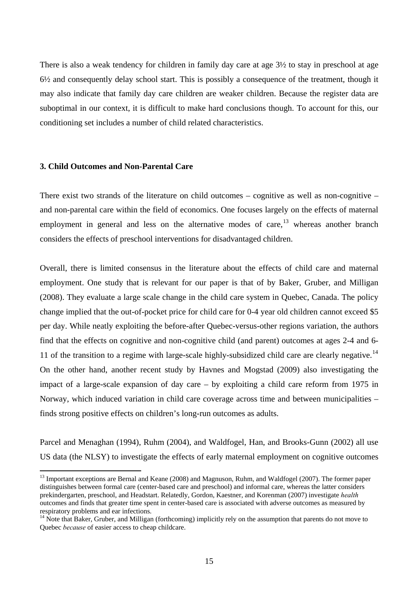<span id="page-15-0"></span>There is also a weak tendency for children in family day care at age 3½ to stay in preschool at age 6½ and consequently delay school start. This is possibly a consequence of the treatment, though it may also indicate that family day care children are weaker children. Because the register data are suboptimal in our context, it is difficult to make hard conclusions though. To account for this, our conditioning set includes a number of child related characteristics.

### **3. Child Outcomes and Non-Parental Care**

 $\overline{a}$ 

There exist two strands of the literature on child outcomes – cognitive as well as non-cognitive – and non-parental care within the field of economics. One focuses largely on the effects of maternal employment in general and less on the alternative modes of care,  $13$  whereas another branch considers the effects of preschool interventions for disadvantaged children.

Overall, there is limited consensus in the literature about the effects of child care and maternal employment. One study that is relevant for our paper is that of by Baker, Gruber, and Milligan (2008). They evaluate a large scale change in the child care system in Quebec, Canada. The policy change implied that the out-of-pocket price for child care for 0-4 year old children cannot exceed \$5 per day. While neatly exploiting the before-after Quebec-versus-other regions variation, the authors find that the effects on cognitive and non-cognitive child (and parent) outcomes at ages 2-4 and 6- 11 of the transition to a regime with large-scale highly-subsidized child care are clearly negative.<sup>[14](#page-15-0)</sup> On the other hand, another recent study by Havnes and Mogstad (2009) also investigating the impact of a large-scale expansion of day care – by exploiting a child care reform from 1975 in Norway, which induced variation in child care coverage across time and between municipalities – finds strong positive effects on children's long-run outcomes as adults.

Parcel and Menaghan (1994), Ruhm (2004), and Waldfogel, Han, and Brooks-Gunn (2002) all use US data (the NLSY) to investigate the effects of early maternal employment on cognitive outcomes

<sup>&</sup>lt;sup>13</sup> Important exceptions are Bernal and Keane (2008) and Magnuson, Ruhm, and Waldfogel (2007). The former paper distinguishes between formal care (center-based care and preschool) and informal care, whereas the latter considers prekindergarten, preschool, and Headstart. Relatedly, Gordon, Kaestner, and Korenman (2007) investigate *health* outcomes and finds that greater time spent in center-based care is associated with adverse outcomes as measured by respiratory problems and ear infections.

 $14$  Note that Baker, Gruber, and Milligan (forthcoming) implicitly rely on the assumption that parents do not move to Quebec *because* of easier access to cheap childcare.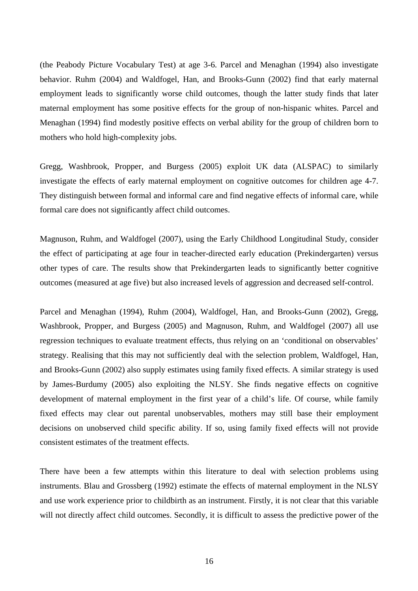(the Peabody Picture Vocabulary Test) at age 3-6. Parcel and Menaghan (1994) also investigate behavior. Ruhm (2004) and Waldfogel, Han, and Brooks-Gunn (2002) find that early maternal employment leads to significantly worse child outcomes, though the latter study finds that later maternal employment has some positive effects for the group of non-hispanic whites. Parcel and Menaghan (1994) find modestly positive effects on verbal ability for the group of children born to mothers who hold high-complexity jobs.

Gregg, Washbrook, Propper, and Burgess (2005) exploit UK data (ALSPAC) to similarly investigate the effects of early maternal employment on cognitive outcomes for children age 4-7. They distinguish between formal and informal care and find negative effects of informal care, while formal care does not significantly affect child outcomes.

Magnuson, Ruhm, and Waldfogel (2007), using the Early Childhood Longitudinal Study, consider the effect of participating at age four in teacher-directed early education (Prekindergarten) versus other types of care. The results show that Prekindergarten leads to significantly better cognitive outcomes (measured at age five) but also increased levels of aggression and decreased self-control.

Parcel and Menaghan (1994), Ruhm (2004), Waldfogel, Han, and Brooks-Gunn (2002), Gregg, Washbrook, Propper, and Burgess (2005) and Magnuson, Ruhm, and Waldfogel (2007) all use regression techniques to evaluate treatment effects, thus relying on an 'conditional on observables' strategy. Realising that this may not sufficiently deal with the selection problem, Waldfogel, Han, and Brooks-Gunn (2002) also supply estimates using family fixed effects. A similar strategy is used by James-Burdumy (2005) also exploiting the NLSY. She finds negative effects on cognitive development of maternal employment in the first year of a child's life. Of course, while family fixed effects may clear out parental unobservables, mothers may still base their employment decisions on unobserved child specific ability. If so, using family fixed effects will not provide consistent estimates of the treatment effects.

There have been a few attempts within this literature to deal with selection problems using instruments. Blau and Grossberg (1992) estimate the effects of maternal employment in the NLSY and use work experience prior to childbirth as an instrument. Firstly, it is not clear that this variable will not directly affect child outcomes. Secondly, it is difficult to assess the predictive power of the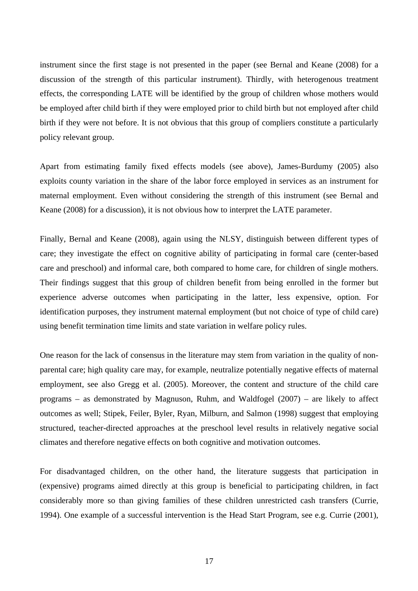instrument since the first stage is not presented in the paper (see Bernal and Keane (2008) for a discussion of the strength of this particular instrument). Thirdly, with heterogenous treatment effects, the corresponding LATE will be identified by the group of children whose mothers would be employed after child birth if they were employed prior to child birth but not employed after child birth if they were not before. It is not obvious that this group of compliers constitute a particularly policy relevant group.

Apart from estimating family fixed effects models (see above), James-Burdumy (2005) also exploits county variation in the share of the labor force employed in services as an instrument for maternal employment. Even without considering the strength of this instrument (see Bernal and Keane (2008) for a discussion), it is not obvious how to interpret the LATE parameter.

Finally, Bernal and Keane (2008), again using the NLSY, distinguish between different types of care; they investigate the effect on cognitive ability of participating in formal care (center-based care and preschool) and informal care, both compared to home care, for children of single mothers. Their findings suggest that this group of children benefit from being enrolled in the former but experience adverse outcomes when participating in the latter, less expensive, option. For identification purposes, they instrument maternal employment (but not choice of type of child care) using benefit termination time limits and state variation in welfare policy rules.

One reason for the lack of consensus in the literature may stem from variation in the quality of nonparental care; high quality care may, for example, neutralize potentially negative effects of maternal employment, see also Gregg et al. (2005). Moreover, the content and structure of the child care programs – as demonstrated by Magnuson, Ruhm, and Waldfogel (2007) – are likely to affect outcomes as well; Stipek, Feiler, Byler, Ryan, Milburn, and Salmon (1998) suggest that employing structured, teacher-directed approaches at the preschool level results in relatively negative social climates and therefore negative effects on both cognitive and motivation outcomes.

For disadvantaged children, on the other hand, the literature suggests that participation in (expensive) programs aimed directly at this group is beneficial to participating children, in fact considerably more so than giving families of these children unrestricted cash transfers (Currie, 1994). One example of a successful intervention is the Head Start Program, see e.g. Currie (2001),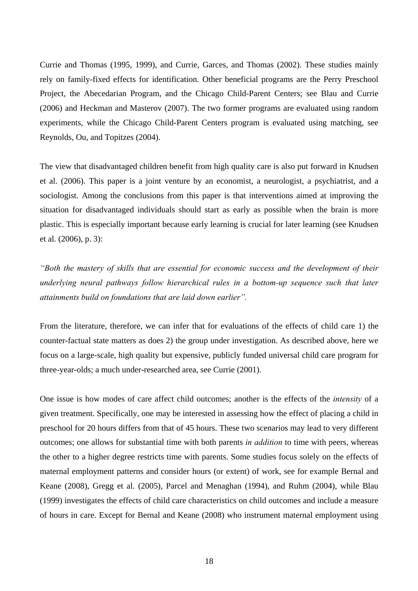Currie and Thomas (1995, 1999), and Currie, Garces, and Thomas (2002). These studies mainly rely on family-fixed effects for identification. Other beneficial programs are the Perry Preschool Project, the Abecedarian Program, and the Chicago Child-Parent Centers; see Blau and Currie (2006) and Heckman and Masterov (2007). The two former programs are evaluated using random experiments, while the Chicago Child-Parent Centers program is evaluated using matching, see Reynolds, Ou, and Topitzes (2004).

The view that disadvantaged children benefit from high quality care is also put forward in Knudsen et al. (2006). This paper is a joint venture by an economist, a neurologist, a psychiatrist, and a sociologist. Among the conclusions from this paper is that interventions aimed at improving the situation for disadvantaged individuals should start as early as possible when the brain is more plastic. This is especially important because early learning is crucial for later learning (see Knudsen et al. (2006), p. 3):

*"Both the mastery of skills that are essential for economic success and the development of their underlying neural pathways follow hierarchical rules in a bottom-up sequence such that later attainments build on foundations that are laid down earlier".* 

From the literature, therefore, we can infer that for evaluations of the effects of child care 1) the counter-factual state matters as does 2) the group under investigation. As described above, here we focus on a large-scale, high quality but expensive, publicly funded universal child care program for three-year-olds; a much under-researched area, see Currie (2001).

One issue is how modes of care affect child outcomes; another is the effects of the *intensity* of a given treatment. Specifically, one may be interested in assessing how the effect of placing a child in preschool for 20 hours differs from that of 45 hours. These two scenarios may lead to very different outcomes; one allows for substantial time with both parents *in addition* to time with peers, whereas the other to a higher degree restricts time with parents. Some studies focus solely on the effects of maternal employment patterns and consider hours (or extent) of work, see for example Bernal and Keane (2008), Gregg et al. (2005), Parcel and Menaghan (1994), and Ruhm (2004), while Blau (1999) investigates the effects of child care characteristics on child outcomes and include a measure of hours in care. Except for Bernal and Keane (2008) who instrument maternal employment using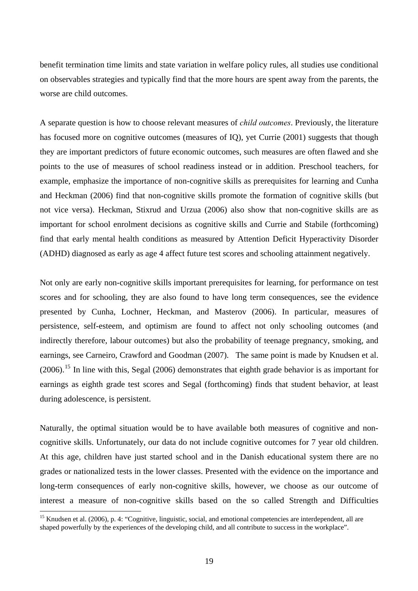<span id="page-19-0"></span>benefit termination time limits and state variation in welfare policy rules, all studies use conditional on observables strategies and typically find that the more hours are spent away from the parents, the worse are child outcomes.

A separate question is how to choose relevant measures of *child outcomes*. Previously, the literature has focused more on cognitive outcomes (measures of IQ), yet Currie (2001) suggests that though they are important predictors of future economic outcomes, such measures are often flawed and she points to the use of measures of school readiness instead or in addition. Preschool teachers, for example, emphasize the importance of non-cognitive skills as prerequisites for learning and Cunha and Heckman (2006) find that non-cognitive skills promote the formation of cognitive skills (but not vice versa). Heckman, Stixrud and Urzua (2006) also show that non-cognitive skills are as important for school enrolment decisions as cognitive skills and Currie and Stabile (forthcoming) find that early mental health conditions as measured by Attention Deficit Hyperactivity Disorder (ADHD) diagnosed as early as age 4 affect future test scores and schooling attainment negatively.

Not only are early non-cognitive skills important prerequisites for learning, for performance on test scores and for schooling, they are also found to have long term consequences, see the evidence presented by Cunha, Lochner, Heckman, and Masterov (2006). In particular, measures of persistence, self-esteem, and optimism are found to affect not only schooling outcomes (and indirectly therefore, labour outcomes) but also the probability of teenage pregnancy, smoking, and earnings, see Carneiro, Crawford and Goodman (2007). The same point is made by Knudsen et al.  $(2006)$ .<sup>[15](#page-19-0)</sup> In line with this, Segal (2006) demonstrates that eighth grade behavior is as important for earnings as eighth grade test scores and Segal (forthcoming) finds that student behavior, at least during adolescence, is persistent.

Naturally, the optimal situation would be to have available both measures of cognitive and noncognitive skills. Unfortunately, our data do not include cognitive outcomes for 7 year old children. At this age, children have just started school and in the Danish educational system there are no grades or nationalized tests in the lower classes. Presented with the evidence on the importance and long-term consequences of early non-cognitive skills, however, we choose as our outcome of interest a measure of non-cognitive skills based on the so called Strength and Difficulties

 $\overline{a}$ 

<sup>&</sup>lt;sup>15</sup> Knudsen et al. (2006), p. 4: "Cognitive, linguistic, social, and emotional competencies are interdependent, all are shaped powerfully by the experiences of the developing child, and all contribute to success in the workplace".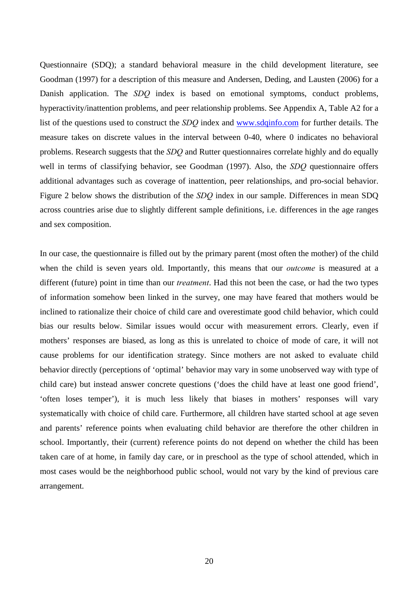Questionnaire (SDQ); a standard behavioral measure in the child development literature, see Goodman (1997) for a description of this measure and Andersen, Deding, and Lausten (2006) for a Danish application. The *SDQ* index is based on emotional symptoms, conduct problems, hyperactivity/inattention problems, and peer relationship problems. See Appendix A, Table A2 for a list of the questions used to construct the *SDQ* index and [www.sdqinfo.com](http://www.sdqinfo.com/) for further details. The measure takes on discrete values in the interval between 0-40, where 0 indicates no behavioral problems. Research suggests that the *SDQ* and Rutter questionnaires correlate highly and do equally well in terms of classifying behavior, see Goodman (1997). Also, the *SDQ* questionnaire offers additional advantages such as coverage of inattention, peer relationships, and pro-social behavior. Figure 2 below shows the distribution of the *SDQ* index in our sample. Differences in mean SDQ across countries arise due to slightly different sample definitions, i.e. differences in the age ranges and sex composition.

In our case, the questionnaire is filled out by the primary parent (most often the mother) of the child when the child is seven years old. Importantly, this means that our *outcome* is measured at a different (future) point in time than our *treatment*. Had this not been the case, or had the two types of information somehow been linked in the survey, one may have feared that mothers would be inclined to rationalize their choice of child care and overestimate good child behavior, which could bias our results below. Similar issues would occur with measurement errors. Clearly, even if mothers' responses are biased, as long as this is unrelated to choice of mode of care, it will not cause problems for our identification strategy. Since mothers are not asked to evaluate child behavior directly (perceptions of 'optimal' behavior may vary in some unobserved way with type of child care) but instead answer concrete questions ('does the child have at least one good friend', 'often loses temper'), it is much less likely that biases in mothers' responses will vary systematically with choice of child care. Furthermore, all children have started school at age seven and parents' reference points when evaluating child behavior are therefore the other children in school. Importantly, their (current) reference points do not depend on whether the child has been taken care of at home, in family day care, or in preschool as the type of school attended, which in most cases would be the neighborhood public school, would not vary by the kind of previous care arrangement.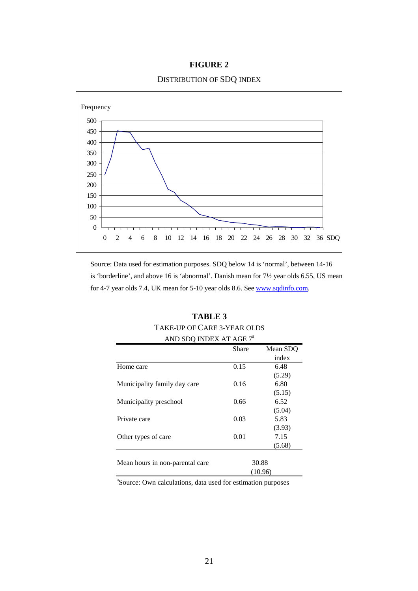## **FIGURE 2**

#### DISTRIBUTION OF SDQ INDEX



Source: Data used for estimation purposes. SDQ below 14 is 'normal', between 14-16 is 'borderline', and above 16 is 'abnormal'. Danish mean for 7½ year olds 6.55, US mean for 4-7 year olds 7.4, UK mean for 5-10 year olds 8.6. See [www.sqdinfo.com](http://www.sqdinfo.com/).

| <b>TABLE 3</b>              |
|-----------------------------|
| TAKE-UP OF CARE 3-YEAR OLDS |
| AND SDO INDEX AT AGE $7^a$  |

|                                 | Share   | Mean SDQ |  |  |
|---------------------------------|---------|----------|--|--|
|                                 |         | index    |  |  |
| Home care                       | 0.15    | 6.48     |  |  |
|                                 |         | (5.29)   |  |  |
| Municipality family day care    | 0.16    | 6.80     |  |  |
|                                 |         | (5.15)   |  |  |
| Municipality preschool          | 0.66    | 6.52     |  |  |
|                                 |         | (5.04)   |  |  |
| Private care                    | 0.03    | 5.83     |  |  |
|                                 |         | (3.93)   |  |  |
| Other types of care             | 0.01    | 7.15     |  |  |
|                                 |         | (5.68)   |  |  |
|                                 |         |          |  |  |
| Mean hours in non-parental care |         | 30.88    |  |  |
|                                 | (10.96) |          |  |  |

<sup>a</sup>Source: Own calculations, data used for estimation purposes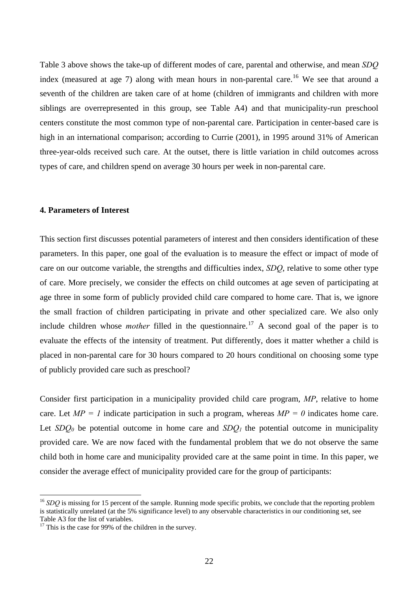<span id="page-22-0"></span>Table 3 above shows the take-up of different modes of care, parental and otherwise, and mean *SDQ* index (measured at age 7) along with mean hours in non-parental care.<sup>[16](#page-22-0)</sup> We see that around a seventh of the children are taken care of at home (children of immigrants and children with more siblings are overrepresented in this group, see Table A4) and that municipality-run preschool centers constitute the most common type of non-parental care. Participation in center-based care is high in an international comparison; according to Currie (2001), in 1995 around 31% of American three-year-olds received such care. At the outset, there is little variation in child outcomes across types of care, and children spend on average 30 hours per week in non-parental care.

### **4. Parameters of Interest**

This section first discusses potential parameters of interest and then considers identification of these parameters. In this paper, one goal of the evaluation is to measure the effect or impact of mode of care on our outcome variable, the strengths and difficulties index, *SDQ*, relative to some other type of care. More precisely, we consider the effects on child outcomes at age seven of participating at age three in some form of publicly provided child care compared to home care. That is, we ignore the small fraction of children participating in private and other specialized care. We also only include children whose *mother* filled in the questionnaire.<sup>[17](#page-22-0)</sup> A second goal of the paper is to evaluate the effects of the intensity of treatment. Put differently, does it matter whether a child is placed in non-parental care for 30 hours compared to 20 hours conditional on choosing some type of publicly provided care such as preschool?

Consider first participation in a municipality provided child care program, *MP*, relative to home care. Let  $MP = 1$  indicate participation in such a program, whereas  $MP = 0$  indicates home care. Let  $SDO<sub>0</sub>$  be potential outcome in home care and  $SDO<sub>1</sub>$  the potential outcome in municipality provided care. We are now faced with the fundamental problem that we do not observe the same child both in home care and municipality provided care at the same point in time. In this paper, we consider the average effect of municipality provided care for the group of participants:

 $\overline{a}$ 

<sup>&</sup>lt;sup>16</sup> *SDO* is missing for 15 percent of the sample. Running mode specific probits, we conclude that the reporting problem is statistically unrelated (at the 5% significance level) to any observable characteristics in our conditioning set, see Table A3 for the list of variables.

 $17$  This is the case for 99% of the children in the survey.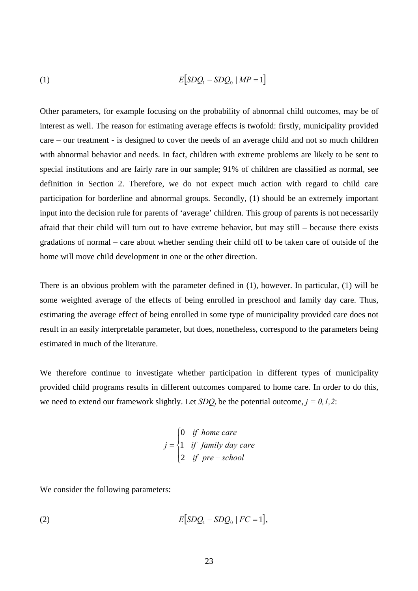$$
(1) \t E[SDQ1 - SDQ0 | MP = 1]
$$

Other parameters, for example focusing on the probability of abnormal child outcomes, may be of interest as well. The reason for estimating average effects is twofold: firstly, municipality provided care – our treatment - is designed to cover the needs of an average child and not so much children with abnormal behavior and needs. In fact, children with extreme problems are likely to be sent to special institutions and are fairly rare in our sample; 91% of children are classified as normal, see definition in Section 2. Therefore, we do not expect much action with regard to child care participation for borderline and abnormal groups. Secondly, (1) should be an extremely important input into the decision rule for parents of 'average' children. This group of parents is not necessarily afraid that their child will turn out to have extreme behavior, but may still – because there exists gradations of normal – care about whether sending their child off to be taken care of outside of the home will move child development in one or the other direction.

There is an obvious problem with the parameter defined in (1), however. In particular, (1) will be some weighted average of the effects of being enrolled in preschool and family day care. Thus, estimating the average effect of being enrolled in some type of municipality provided care does not result in an easily interpretable parameter, but does, nonetheless, correspond to the parameters being estimated in much of the literature.

We therefore continue to investigate whether participation in different types of municipality provided child programs results in different outcomes compared to home care. In order to do this, we need to extend our framework slightly. Let *SDQ<sub>j</sub>* be the potential outcome,  $j = 0, 1, 2$ :

$$
j = \begin{cases} 0 & \text{if home care} \\ 1 & \text{if family day care} \\ 2 & \text{if pre-school} \end{cases}
$$

We consider the following parameters:

$$
E[SDQ1 - SDQ0 | FC = 1],
$$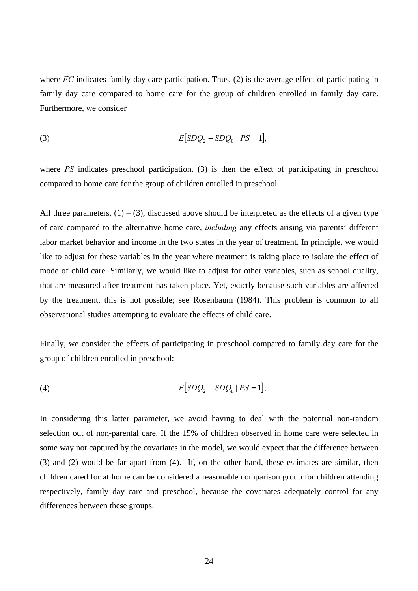where *FC* indicates family day care participation. Thus, (2) is the average effect of participating in family day care compared to home care for the group of children enrolled in family day care. Furthermore, we consider

$$
(3) \tE[SDQ2 - SDQ0 | PS = 1],
$$

where *PS* indicates preschool participation. (3) is then the effect of participating in preschool compared to home care for the group of children enrolled in preschool.

All three parameters,  $(1) - (3)$ , discussed above should be interpreted as the effects of a given type of care compared to the alternative home care, *including* any effects arising via parents' different labor market behavior and income in the two states in the year of treatment. In principle, we would like to adjust for these variables in the year where treatment is taking place to isolate the effect of mode of child care. Similarly, we would like to adjust for other variables, such as school quality, that are measured after treatment has taken place. Yet, exactly because such variables are affected by the treatment, this is not possible; see Rosenbaum (1984). This problem is common to all observational studies attempting to evaluate the effects of child care.

Finally, we consider the effects of participating in preschool compared to family day care for the group of children enrolled in preschool:

$$
(4) \tE[SDQ2 - SDQ1 | PS = 1].
$$

In considering this latter parameter, we avoid having to deal with the potential non-random selection out of non-parental care. If the 15% of children observed in home care were selected in some way not captured by the covariates in the model, we would expect that the difference between (3) and (2) would be far apart from (4). If, on the other hand, these estimates are similar, then children cared for at home can be considered a reasonable comparison group for children attending respectively, family day care and preschool, because the covariates adequately control for any differences between these groups.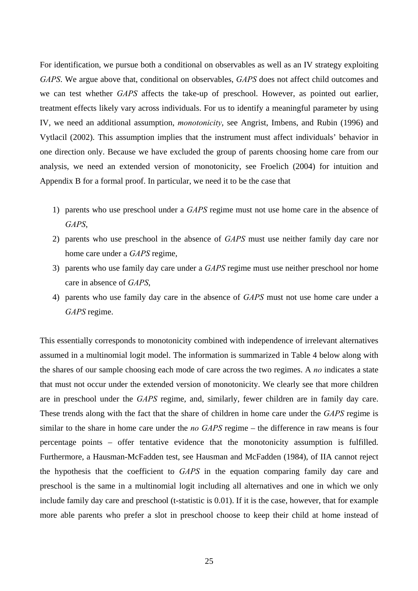For identification, we pursue both a conditional on observables as well as an IV strategy exploiting *GAPS*. We argue above that, conditional on observables, *GAPS* does not affect child outcomes and we can test whether *GAPS* affects the take-up of preschool. However, as pointed out earlier, treatment effects likely vary across individuals. For us to identify a meaningful parameter by using IV, we need an additional assumption, *monotonicity*, see Angrist, Imbens, and Rubin (1996) and Vytlacil (2002). This assumption implies that the instrument must affect individuals' behavior in one direction only. Because we have excluded the group of parents choosing home care from our analysis, we need an extended version of monotonicity, see Froelich (2004) for intuition and Appendix B for a formal proof. In particular, we need it to be the case that

- 1) parents who use preschool under a *GAPS* regime must not use home care in the absence of *GAPS*,
- 2) parents who use preschool in the absence of *GAPS* must use neither family day care nor home care under a *GAPS* regime,
- 3) parents who use family day care under a *GAPS* regime must use neither preschool nor home care in absence of *GAPS*,
- 4) parents who use family day care in the absence of *GAPS* must not use home care under a *GAPS* regime.

This essentially corresponds to monotonicity combined with independence of irrelevant alternatives assumed in a multinomial logit model. The information is summarized in Table 4 below along with the shares of our sample choosing each mode of care across the two regimes. A *no* indicates a state that must not occur under the extended version of monotonicity. We clearly see that more children are in preschool under the *GAPS* regime, and, similarly, fewer children are in family day care. These trends along with the fact that the share of children in home care under the *GAPS* regime is similar to the share in home care under the *no GAPS* regime – the difference in raw means is four percentage points – offer tentative evidence that the monotonicity assumption is fulfilled. Furthermore, a Hausman-McFadden test, see Hausman and McFadden (1984), of IIA cannot reject the hypothesis that the coefficient to *GAPS* in the equation comparing family day care and preschool is the same in a multinomial logit including all alternatives and one in which we only include family day care and preschool (t-statistic is 0.01). If it is the case, however, that for example more able parents who prefer a slot in preschool choose to keep their child at home instead of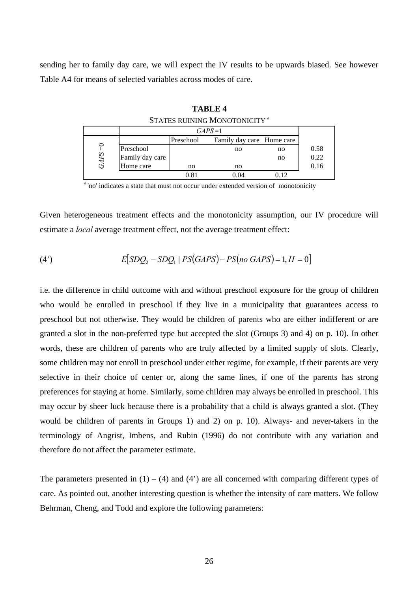sending her to family day care, we will expect the IV results to be upwards biased. See however Table A4 for means of selected variables across modes of care.

|      |                 | $GAPS = 1$ |                           |    |      |  |  |  |  |  |
|------|-----------------|------------|---------------------------|----|------|--|--|--|--|--|
|      |                 | Preschool  | Family day care Home care |    |      |  |  |  |  |  |
|      | Preschool       |            | no                        | no | 0.58 |  |  |  |  |  |
| GAPS | Family day care |            |                           | no | 0.22 |  |  |  |  |  |
|      | Home care       | no         | no                        |    | 0.16 |  |  |  |  |  |
|      |                 | $\rm 0.81$ | ) በ4                      |    |      |  |  |  |  |  |

**TABLE 4** STATES RUINING MONOTONICITY<sup>a</sup>

<sup>a</sup> 'no' indicates a state that must not occur under extended version of monotonicity

Given heterogeneous treatment effects and the monotonicity assumption, our IV procedure will estimate a *local* average treatment effect, not the average treatment effect:

(4') 
$$
E[SDQ_2 - SDQ_1 | PS(GAPS) - PS(no\ GAPS) = 1, H = 0]
$$

i.e. the difference in child outcome with and without preschool exposure for the group of children who would be enrolled in preschool if they live in a municipality that guarantees access to preschool but not otherwise. They would be children of parents who are either indifferent or are granted a slot in the non-preferred type but accepted the slot (Groups 3) and 4) on p. 10). In other words, these are children of parents who are truly affected by a limited supply of slots. Clearly, some children may not enroll in preschool under either regime, for example, if their parents are very selective in their choice of center or, along the same lines, if one of the parents has strong preferences for staying at home. Similarly, some children may always be enrolled in preschool. This may occur by sheer luck because there is a probability that a child is always granted a slot. (They would be children of parents in Groups 1) and 2) on p. 10). Always- and never-takers in the terminology of Angrist, Imbens, and Rubin (1996) do not contribute with any variation and therefore do not affect the parameter estimate.

The parameters presented in  $(1) - (4)$  and  $(4')$  are all concerned with comparing different types of care. As pointed out, another interesting question is whether the intensity of care matters. We follow Behrman, Cheng, and Todd and explore the following parameters: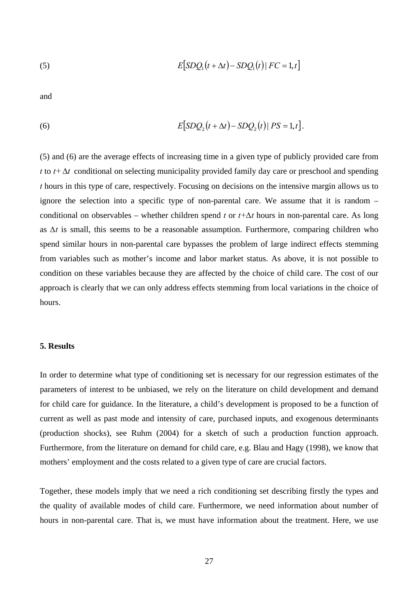(5) 
$$
E[SDQ_1(t + \Delta t) - SDQ_1(t)|FC = 1, t]
$$

and

(6) 
$$
E[SDQ_2(t + \Delta t) - SDQ_2(t)| PS = 1, t].
$$

(5) and (6) are the average effects of increasing time in a given type of publicly provided care from *t* to  $t + \Delta t$  conditional on selecting municipality provided family day care or preschool and spending *t* hours in this type of care, respectively. Focusing on decisions on the intensive margin allows us to ignore the selection into a specific type of non-parental care. We assume that it is random – conditional on observables – whether children spend *t* or  $t + \Delta t$  hours in non-parental care. As long as *∆t* is small, this seems to be a reasonable assumption. Furthermore, comparing children who spend similar hours in non-parental care bypasses the problem of large indirect effects stemming from variables such as mother's income and labor market status. As above, it is not possible to condition on these variables because they are affected by the choice of child care. The cost of our approach is clearly that we can only address effects stemming from local variations in the choice of hours.

## **5. Results**

In order to determine what type of conditioning set is necessary for our regression estimates of the parameters of interest to be unbiased, we rely on the literature on child development and demand for child care for guidance. In the literature, a child's development is proposed to be a function of current as well as past mode and intensity of care, purchased inputs, and exogenous determinants (production shocks), see Ruhm (2004) for a sketch of such a production function approach. Furthermore, from the literature on demand for child care, e.g. Blau and Hagy (1998), we know that mothers' employment and the costs related to a given type of care are crucial factors.

Together, these models imply that we need a rich conditioning set describing firstly the types and the quality of available modes of child care. Furthermore, we need information about number of hours in non-parental care. That is, we must have information about the treatment. Here, we use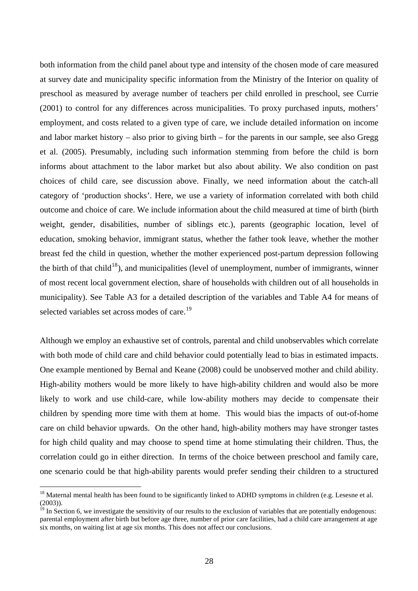<span id="page-28-0"></span>both information from the child panel about type and intensity of the chosen mode of care measured at survey date and municipality specific information from the Ministry of the Interior on quality of preschool as measured by average number of teachers per child enrolled in preschool, see Currie (2001) to control for any differences across municipalities. To proxy purchased inputs, mothers' employment, and costs related to a given type of care, we include detailed information on income and labor market history – also prior to giving birth – for the parents in our sample, see also Gregg et al. (2005). Presumably, including such information stemming from before the child is born informs about attachment to the labor market but also about ability. We also condition on past choices of child care, see discussion above. Finally, we need information about the catch-all category of 'production shocks'. Here, we use a variety of information correlated with both child outcome and choice of care. We include information about the child measured at time of birth (birth weight, gender, disabilities, number of siblings etc.), parents (geographic location, level of education, smoking behavior, immigrant status, whether the father took leave, whether the mother breast fed the child in question, whether the mother experienced post-partum depression following the birth of that child<sup>[18](#page-28-0)</sup>), and municipalities (level of unemployment, number of immigrants, winner of most recent local government election, share of households with children out of all households in municipality). See Table A3 for a detailed description of the variables and Table A4 for means of selected variables set across modes of care.<sup>[19](#page-28-0)</sup>

Although we employ an exhaustive set of controls, parental and child unobservables which correlate with both mode of child care and child behavior could potentially lead to bias in estimated impacts. One example mentioned by Bernal and Keane (2008) could be unobserved mother and child ability. High-ability mothers would be more likely to have high-ability children and would also be more likely to work and use child-care, while low-ability mothers may decide to compensate their children by spending more time with them at home. This would bias the impacts of out-of-home care on child behavior upwards. On the other hand, high-ability mothers may have stronger tastes for high child quality and may choose to spend time at home stimulating their children. Thus, the correlation could go in either direction. In terms of the choice between preschool and family care, one scenario could be that high-ability parents would prefer sending their children to a structured

 $\overline{a}$ 

<sup>&</sup>lt;sup>18</sup> Maternal mental health has been found to be significantly linked to ADHD symptoms in children (e.g. Lesesne et al. (2003)).

 $19$  In Section 6, we investigate the sensitivity of our results to the exclusion of variables that are potentially endogenous: parental employment after birth but before age three, number of prior care facilities, had a child care arrangement at age six months, on waiting list at age six months. This does not affect our conclusions.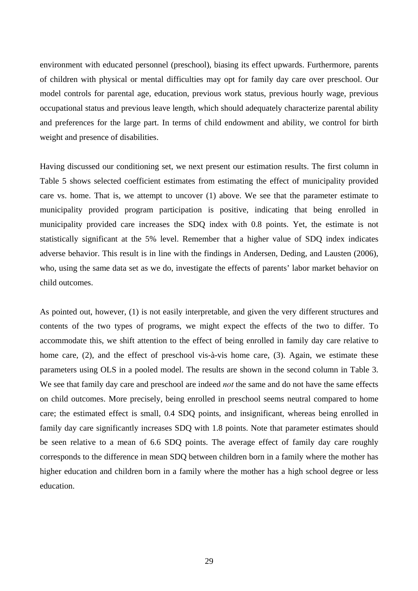environment with educated personnel (preschool), biasing its effect upwards. Furthermore, parents of children with physical or mental difficulties may opt for family day care over preschool. Our model controls for parental age, education, previous work status, previous hourly wage, previous occupational status and previous leave length, which should adequately characterize parental ability and preferences for the large part. In terms of child endowment and ability, we control for birth weight and presence of disabilities.

Having discussed our conditioning set, we next present our estimation results. The first column in Table 5 shows selected coefficient estimates from estimating the effect of municipality provided care vs. home. That is, we attempt to uncover (1) above. We see that the parameter estimate to municipality provided program participation is positive, indicating that being enrolled in municipality provided care increases the SDQ index with 0.8 points. Yet, the estimate is not statistically significant at the 5% level. Remember that a higher value of SDQ index indicates adverse behavior. This result is in line with the findings in Andersen, Deding, and Lausten (2006), who, using the same data set as we do, investigate the effects of parents' labor market behavior on child outcomes.

As pointed out, however, (1) is not easily interpretable, and given the very different structures and contents of the two types of programs, we might expect the effects of the two to differ. To accommodate this, we shift attention to the effect of being enrolled in family day care relative to home care, (2), and the effect of preschool vis-à-vis home care, (3). Again, we estimate these parameters using OLS in a pooled model. The results are shown in the second column in Table 3. We see that family day care and preschool are indeed *not* the same and do not have the same effects on child outcomes. More precisely, being enrolled in preschool seems neutral compared to home care; the estimated effect is small, 0.4 SDQ points, and insignificant, whereas being enrolled in family day care significantly increases SDQ with 1.8 points. Note that parameter estimates should be seen relative to a mean of 6.6 SDQ points. The average effect of family day care roughly corresponds to the difference in mean SDQ between children born in a family where the mother has higher education and children born in a family where the mother has a high school degree or less education.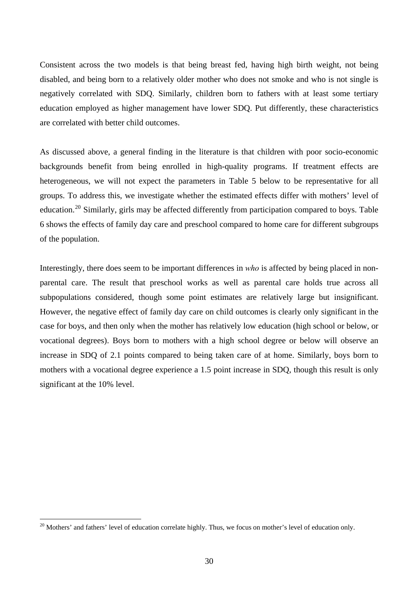<span id="page-30-0"></span>Consistent across the two models is that being breast fed, having high birth weight, not being disabled, and being born to a relatively older mother who does not smoke and who is not single is negatively correlated with SDQ. Similarly, children born to fathers with at least some tertiary education employed as higher management have lower SDQ. Put differently, these characteristics are correlated with better child outcomes.

As discussed above, a general finding in the literature is that children with poor socio-economic backgrounds benefit from being enrolled in high-quality programs. If treatment effects are heterogeneous, we will not expect the parameters in Table 5 below to be representative for all groups. To address this, we investigate whether the estimated effects differ with mothers' level of education.<sup>[20](#page-30-0)</sup> Similarly, girls may be affected differently from participation compared to boys. Table 6 shows the effects of family day care and preschool compared to home care for different subgroups of the population.

Interestingly, there does seem to be important differences in *who* is affected by being placed in nonparental care. The result that preschool works as well as parental care holds true across all subpopulations considered, though some point estimates are relatively large but insignificant. However, the negative effect of family day care on child outcomes is clearly only significant in the case for boys, and then only when the mother has relatively low education (high school or below, or vocational degrees). Boys born to mothers with a high school degree or below will observe an increase in SDQ of 2.1 points compared to being taken care of at home. Similarly, boys born to mothers with a vocational degree experience a 1.5 point increase in SDQ, though this result is only significant at the 10% level.

 $\overline{a}$ 

 $^{20}$  Mothers' and fathers' level of education correlate highly. Thus, we focus on mother's level of education only.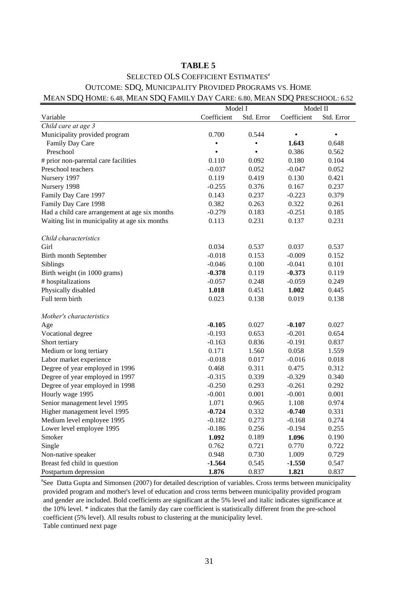## **TABLE 5**

## SELECTED OLS COEFFICIENT ESTIMATES<sup>a</sup>

OUTCOME: SDQ, MUNICIPALITY PROVIDED PROGRAMS VS. HOME

| MEAN SDQ HOME: 6.48, MEAN SDQ FAMILY DAY CARE: 6.80, MEAN SDQ PRESCHOOL: 6.52 |
|-------------------------------------------------------------------------------|
|-------------------------------------------------------------------------------|

|                                                            | Model I     |                | Model II       |                |
|------------------------------------------------------------|-------------|----------------|----------------|----------------|
| Variable                                                   | Coefficient | Std. Error     | Coefficient    | Std. Error     |
| Child care at age 3                                        |             |                |                |                |
| Municipality provided program                              | 0.700       | 0.544          | ٠              | $\bullet$      |
| Family Day Care                                            | $\bullet$   |                | 1.643          | 0.648          |
| Preschool                                                  |             |                | 0.386          | 0.562          |
| # prior non-parental care facilities                       | 0.110       | 0.092          | 0.180          | 0.104          |
| Preschool teachers                                         | $-0.037$    | 0.052          | $-0.047$       | 0.052          |
| Nursery 1997                                               | 0.119       | 0.419          | 0.130          | 0.421          |
| Nursery 1998                                               | $-0.255$    | 0.376          | 0.167          | 0.237          |
| Family Day Care 1997                                       | 0.143       | 0.237          | $-0.223$       | 0.379          |
| Family Day Care 1998                                       | 0.382       | 0.263          | 0.322          | 0.261          |
| Had a child care arrangement at age six months             | $-0.279$    | 0.183          | $-0.251$       | 0.185          |
| Waiting list in municipality at age six months             | 0.113       | 0.231          | 0.137          | 0.231          |
|                                                            |             |                |                |                |
| Child characteristics                                      |             |                |                |                |
| Girl                                                       | 0.034       | 0.537          | 0.037          | 0.537          |
| Birth month September                                      | $-0.018$    | 0.153          | $-0.009$       | 0.152          |
| Siblings                                                   | $-0.046$    | 0.100          | $-0.041$       | 0.101          |
| Birth weight (in 1000 grams)                               | $-0.378$    | 0.119          | $-0.373$       | 0.119          |
| # hospitalizations                                         | $-0.057$    | 0.248          | $-0.059$       | 0.249          |
| Physically disabled                                        | 1.018       | 0.451          | 1.002          | 0.445          |
| Full term birth                                            | 0.023       | 0.138          | 0.019          | 0.138          |
| Mother's characteristics                                   |             |                |                |                |
|                                                            | $-0.105$    | 0.027          | $-0.107$       | 0.027          |
| Age                                                        | $-0.193$    | 0.653          | $-0.201$       | 0.654          |
| Vocational degree<br>Short tertiary                        | $-0.163$    | 0.836          | $-0.191$       | 0.837          |
|                                                            | 0.171       | 1.560          | 0.058          | 1.559          |
| Medium or long tertiary                                    | $-0.018$    | 0.017          | $-0.016$       | 0.018          |
| Labor market experience<br>Degree of year employed in 1996 | 0.468       | 0.311          | 0.475          | 0.312          |
| Degree of year employed in 1997                            | $-0.315$    | 0.339          | $-0.329$       | 0.340          |
| Degree of year employed in 1998                            | $-0.250$    | 0.293          | $-0.261$       | 0.292          |
| Hourly wage 1995                                           | $-0.001$    | 0.001          | $-0.001$       | 0.001          |
| Senior management level 1995                               | 1.071       | 0.965          | 1.108          | 0.974          |
| Higher management level 1995                               | $-0.724$    | 0.332          | $-0.740$       | 0.331          |
| Medium level employee 1995                                 | $-0.182$    | 0.273          | $-0.168$       | 0.274          |
| Lower level employee 1995                                  | $-0.186$    | 0.256          | $-0.194$       | 0.255          |
|                                                            | 1.092       |                |                |                |
| Smoker                                                     | 0.762       | 0.189<br>0.721 | 1.096<br>0.770 | 0.190<br>0.722 |
| Single                                                     | 0.948       | 0.730          | 1.009          | 0.729          |
| Non-native speaker<br>Breast fed child in question         | $-1.564$    | 0.545          | $-1.550$       | 0.547          |
| Postpartum depression                                      | 1.876       | 0.837          | 1.821          | 0.837          |
|                                                            |             |                |                |                |

<sup>a</sup>See Datta Gupta and Simonsen (2007) for detailed description of variables. Cross terms between municipality provided program and mother's level of education and cross terms between municipality provided program and gender are included. Bold coefficients are significant at the 5% level and italic indicates significance at the 10% level. \* indicates that the family day care coefficient is statistically different from the pre-school coefficient (5% level). All results robust to clustering at the municipality level. Table continued next page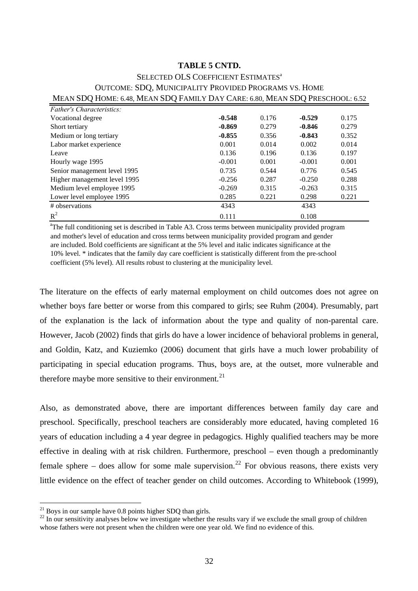## **TABLE 5 CNTD.**

## <span id="page-32-0"></span>SELECTED OLS COEFFICIENT ESTIMATES<sup>a</sup> OUTCOME: SDQ, MUNICIPALITY PROVIDED PROGRAMS VS. HOME MEAN SDQ HOME: 6.48, MEAN SDQ FAMILY DAY CARE: 6.80, MEAN SDQ PRESCHOOL: 6.52

| Father's Characteristics:    |          |       |          |       |
|------------------------------|----------|-------|----------|-------|
| Vocational degree            | $-0.548$ | 0.176 | $-0.529$ | 0.175 |
| Short tertiary               | $-0.869$ | 0.279 | $-0.846$ | 0.279 |
| Medium or long tertiary      | $-0.855$ | 0.356 | $-0.843$ | 0.352 |
| Labor market experience      | 0.001    | 0.014 | 0.002    | 0.014 |
| Leave                        | 0.136    | 0.196 | 0.136    | 0.197 |
| Hourly wage 1995             | $-0.001$ | 0.001 | $-0.001$ | 0.001 |
| Senior management level 1995 | 0.735    | 0.544 | 0.776    | 0.545 |
| Higher management level 1995 | $-0.256$ | 0.287 | $-0.250$ | 0.288 |
| Medium level employee 1995   | $-0.269$ | 0.315 | $-0.263$ | 0.315 |
| Lower level employee 1995    | 0.285    | 0.221 | 0.298    | 0.221 |
| # observations               | 4343     |       | 4343     |       |
| $R^2$                        | 0.111    |       | 0.108    |       |

<sup>a</sup>The full conditioning set is described in Table A3. Cross terms between municipality provided program and mother's level of education and cross terms between municipality provided program and gender are included. Bold coefficients are significant at the 5% level and italic indicates significance at the 10% level. \* indicates that the family day care coefficient is statistically different from the pre-school coefficient (5% level). All results robust to clustering at the municipality level.

The literature on the effects of early maternal employment on child outcomes does not agree on whether boys fare better or worse from this compared to girls; see Ruhm (2004). Presumably, part of the explanation is the lack of information about the type and quality of non-parental care. However, Jacob (2002) finds that girls do have a lower incidence of behavioral problems in general, and Goldin, Katz, and Kuziemko (2006) document that girls have a much lower probability of participating in special education programs. Thus, boys are, at the outset, more vulnerable and therefore maybe more sensitive to their environment.<sup>[21](#page-32-0)</sup>

Also, as demonstrated above, there are important differences between family day care and preschool. Specifically, preschool teachers are considerably more educated, having completed 16 years of education including a 4 year degree in pedagogics. Highly qualified teachers may be more effective in dealing with at risk children. Furthermore, preschool – even though a predominantly female sphere – does allow for some male supervision.<sup>[22](#page-32-0)</sup> For obvious reasons, there exists very little evidence on the effect of teacher gender on child outcomes. According to Whitebook (1999),

 $\overline{a}$ 

 $^{21}$  Boys in our sample have 0.8 points higher SDQ than girls.

 $^{22}$  In our sensitivity analyses below we investigate whether the results vary if we exclude the small group of children whose fathers were not present when the children were one year old. We find no evidence of this.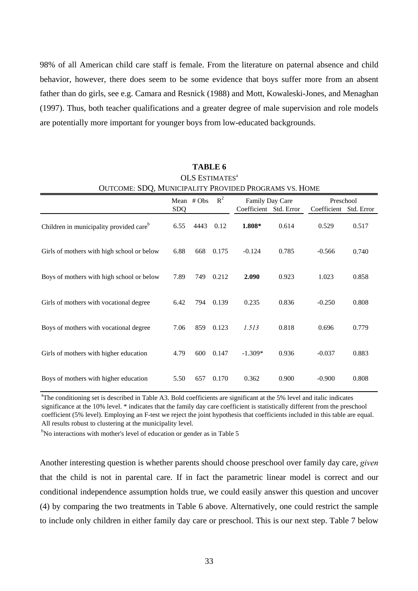98% of all American child care staff is female. From the literature on paternal absence and child behavior, however, there does seem to be some evidence that boys suffer more from an absent father than do girls, see e.g. Camara and Resnick (1988) and Mott, Kowaleski-Jones, and Menaghan (1997). Thus, both teacher qualifications and a greater degree of male supervision and role models are potentially more important for younger boys from low-educated backgrounds.

| OUTCOME: SDQ, MUNICIPALITY PROVIDED PROGRAMS VS. HOME |            |                  |       |                                           |       |                                     |       |
|-------------------------------------------------------|------------|------------------|-------|-------------------------------------------|-------|-------------------------------------|-------|
|                                                       | <b>SDQ</b> | Mean # Obs $R^2$ |       | Family Day Care<br>Coefficient Std. Error |       | Preschool<br>Coefficient Std. Error |       |
|                                                       |            |                  |       |                                           |       |                                     |       |
| Children in municipality provided care <sup>b</sup>   | 6.55       | 4443             | 0.12  | 1.808*                                    | 0.614 | 0.529                               | 0.517 |
| Girls of mothers with high school or below            | 6.88       | 668              | 0.175 | $-0.124$                                  | 0.785 | $-0.566$                            | 0.740 |
| Boys of mothers with high school or below             | 7.89       | 749              | 0.212 | 2.090                                     | 0.923 | 1.023                               | 0.858 |
| Girls of mothers with vocational degree               | 6.42       | 794              | 0.139 | 0.235                                     | 0.836 | $-0.250$                            | 0.808 |
| Boys of mothers with vocational degree                | 7.06       | 859              | 0.123 | 1.513                                     | 0.818 | 0.696                               | 0.779 |
| Girls of mothers with higher education                | 4.79       | 600              | 0.147 | $-1.309*$                                 | 0.936 | $-0.037$                            | 0.883 |
| Boys of mothers with higher education                 | 5.50       | 657              | 0.170 | 0.362                                     | 0.900 | $-0.900$                            | 0.808 |

# **TABLE 6** OLS ESTIMATES<sup>a</sup>

<sup>a</sup>The conditioning set is described in Table A3. Bold coefficients are significant at the 5% level and italic indicates significance at the 10% level. \* indicates that the family day care coefficient is statistically different from the preschool coefficient (5% level). Employing an F-test we reject the joint hypothesis that coefficients included in this table are equal. All results robust to clustering at the municipality level.

<sup>b</sup>No interactions with mother's level of education or gender as in Table 5

Another interesting question is whether parents should choose preschool over family day care, *given* that the child is not in parental care. If in fact the parametric linear model is correct and our conditional independence assumption holds true, we could easily answer this question and uncover (4) by comparing the two treatments in Table 6 above. Alternatively, one could restrict the sample to include only children in either family day care or preschool. This is our next step. Table 7 below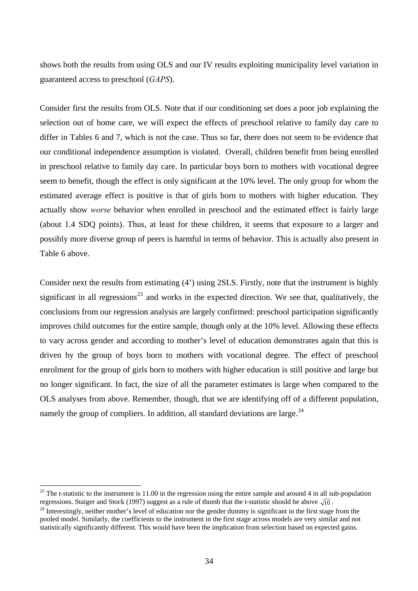<span id="page-34-0"></span>shows both the results from using OLS and our IV results exploiting municipality level variation in guaranteed access to preschool (*GAPS*).

Consider first the results from OLS. Note that if our conditioning set does a poor job explaining the selection out of home care, we will expect the effects of preschool relative to family day care to differ in Tables 6 and 7, which is not the case. Thus so far, there does not seem to be evidence that our conditional independence assumption is violated. Overall, children benefit from being enrolled in preschool relative to family day care. In particular boys born to mothers with vocational degree seem to benefit, though the effect is only significant at the 10% level. The only group for whom the estimated average effect is positive is that of girls born to mothers with higher education. They actually show *worse* behavior when enrolled in preschool and the estimated effect is fairly large (about 1.4 SDQ points). Thus, at least for these children, it seems that exposure to a larger and possibly more diverse group of peers is harmful in terms of behavior. This is actually also present in Table 6 above.

Consider next the results from estimating (4') using 2SLS. Firstly, note that the instrument is highly significant in all regressions<sup>[23](#page-34-0)</sup> and works in the expected direction. We see that, qualitatively, the conclusions from our regression analysis are largely confirmed: preschool participation significantly improves child outcomes for the entire sample, though only at the 10% level. Allowing these effects to vary across gender and according to mother's level of education demonstrates again that this is driven by the group of boys born to mothers with vocational degree. The effect of preschool enrolment for the group of girls born to mothers with higher education is still positive and large but no longer significant. In fact, the size of all the parameter estimates is large when compared to the OLS analyses from above. Remember, though, that we are identifying off of a different population, namely the group of compliers. In addition, all standard deviations are large.<sup>[24](#page-34-0)</sup>

 $\overline{a}$ 

<sup>&</sup>lt;sup>23</sup> The t-statistic to the instrument is 11.00 in the regression using the entire sample and around 4 in all sub-population regressions. Staiger and Stock (1997) suggest as a rule of thumb that the t-statistic should be

<sup>&</sup>lt;sup>24</sup> Interestingly, neither mother's level of education nor the gender dummy is significant in the first stage from the pooled model. Similarly, the coefficients to the instrument in the first stage across models are very similar and not statistically significantly different. This would have been the implication from selection based on expected gains.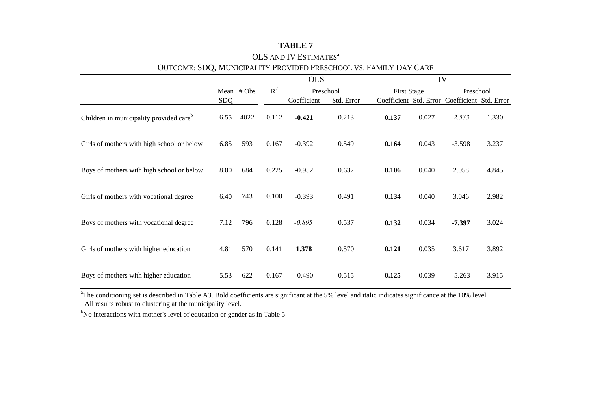| OUTCOME: SDQ, MUNICIPALITY PROVIDED PRESCHOOL VS. FAMILY DAY CARE |            |            |       |             |            |                    |       |                                               |       |
|-------------------------------------------------------------------|------------|------------|-------|-------------|------------|--------------------|-------|-----------------------------------------------|-------|
|                                                                   |            |            |       | <b>OLS</b>  |            |                    |       | IV                                            |       |
|                                                                   |            | Mean # Obs |       | Preschool   |            | <b>First Stage</b> |       | Preschool                                     |       |
|                                                                   | <b>SDQ</b> |            |       | Coefficient | Std. Error |                    |       | Coefficient Std. Error Coefficient Std. Error |       |
| Children in municipality provided care <sup>b</sup>               | 6.55       | 4022       | 0.112 | $-0.421$    | 0.213      | 0.137              | 0.027 | $-2.533$                                      | 1.330 |
| Girls of mothers with high school or below                        | 6.85       | 593        | 0.167 | $-0.392$    | 0.549      | 0.164              | 0.043 | $-3.598$                                      | 3.237 |
| Boys of mothers with high school or below                         | 8.00       | 684        | 0.225 | $-0.952$    | 0.632      | 0.106              | 0.040 | 2.058                                         | 4.845 |
| Girls of mothers with vocational degree                           | 6.40       | 743        | 0.100 | $-0.393$    | 0.491      | 0.134              | 0.040 | 3.046                                         | 2.982 |
| Boys of mothers with vocational degree                            | 7.12       | 796        | 0.128 | $-0.895$    | 0.537      | 0.132              | 0.034 | -7.397                                        | 3.024 |
| Girls of mothers with higher education                            | 4.81       | 570        | 0.141 | 1.378       | 0.570      | 0.121              | 0.035 | 3.617                                         | 3.892 |
| Boys of mothers with higher education                             | 5.53       | 622        | 0.167 | $-0.490$    | 0.515      | 0.125              | 0.039 | $-5.263$                                      | 3.915 |

## OLS AND IV ESTIMATES<sup>a</sup> **TABLE 7** OUTCOME: SDQ, MUNICIPALITY PROVIDED PRESCHOOL VS. FAMILY DAY CARE

<sup>a</sup>The conditioning set is described in Table A3. Bold coefficients are significant at the 5% level and italic indicates significance at the 10% level. All results robust to clustering at the municipality level.

 $b$ No interactions with mother's level of education or gender as in Table 5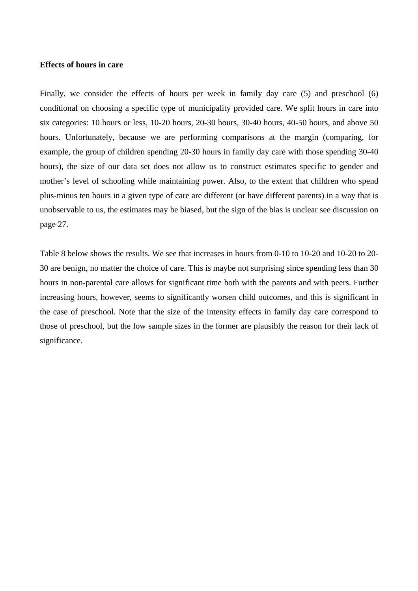#### **Effects of hours in care**

Finally, we consider the effects of hours per week in family day care (5) and preschool (6) conditional on choosing a specific type of municipality provided care. We split hours in care into six categories: 10 hours or less, 10-20 hours, 20-30 hours, 30-40 hours, 40-50 hours, and above 50 hours. Unfortunately, because we are performing comparisons at the margin (comparing, for example, the group of children spending 20-30 hours in family day care with those spending 30-40 hours), the size of our data set does not allow us to construct estimates specific to gender and mother's level of schooling while maintaining power. Also, to the extent that children who spend plus-minus ten hours in a given type of care are different (or have different parents) in a way that is unobservable to us, the estimates may be biased, but the sign of the bias is unclear see discussion on page 27.

Table 8 below shows the results. We see that increases in hours from 0-10 to 10-20 and 10-20 to 20- 30 are benign, no matter the choice of care. This is maybe not surprising since spending less than 30 hours in non-parental care allows for significant time both with the parents and with peers. Further increasing hours, however, seems to significantly worsen child outcomes, and this is significant in the case of preschool. Note that the size of the intensity effects in family day care correspond to those of preschool, but the low sample sizes in the former are plausibly the reason for their lack of significance.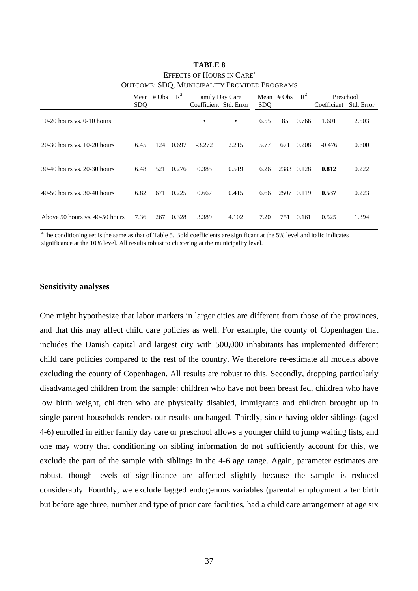| OUTCOME: SDO, MUNICIPALITY PROVIDED PROGRAMS |            |             |       |                 |                        |            |             |            |                          |            |
|----------------------------------------------|------------|-------------|-------|-----------------|------------------------|------------|-------------|------------|--------------------------|------------|
|                                              | <b>SDO</b> | Mean $#Obs$ | $R^2$ | Family Day Care | Coefficient Std. Error | <b>SDO</b> | Mean $#Obs$ | $R^2$      | Preschool<br>Coefficient | Std. Error |
| $10-20$ hours vs. $0-10$ hours               |            |             |       | ٠               | ٠                      | 6.55       | 85          | 0.766      | 1.601                    | 2.503      |
| 20-30 hours vs. 10-20 hours                  | 6.45       | 124         | 0.697 | $-3.272$        | 2.215                  | 5.77       | 671         | 0.208      | $-0.476$                 | 0.600      |
| 30-40 hours vs. 20-30 hours                  | 6.48       | 521         | 0.276 | 0.385           | 0.519                  | 6.26       |             | 2383 0.128 | 0.812                    | 0.222      |
| 40-50 hours vs. 30-40 hours                  | 6.82       | 671         | 0.225 | 0.667           | 0.415                  | 6.66       | 2507        | 0.119      | 0.537                    | 0.223      |
| Above 50 hours vs. 40-50 hours               | 7.36       | 267         | 0.328 | 3.389           | 4.102                  | 7.20       | 751         | 0.161      | 0.525                    | 1.394      |

| <b>TABLE 8</b>                               |
|----------------------------------------------|
| EFFECTS OF HOURS IN CARE <sup>a</sup>        |
| Outcome: SDQ, Municipality Provided Programs |

<sup>a</sup>The conditioning set is the same as that of Table 5. Bold coefficients are significant at the 5% level and italic indicates significance at the 10% level. All results robust to clustering at the municipality level.

#### **Sensitivity analyses**

One might hypothesize that labor markets in larger cities are different from those of the provinces, and that this may affect child care policies as well. For example, the county of Copenhagen that includes the Danish capital and largest city with 500,000 inhabitants has implemented different child care policies compared to the rest of the country. We therefore re-estimate all models above excluding the county of Copenhagen. All results are robust to this. Secondly, dropping particularly disadvantaged children from the sample: children who have not been breast fed, children who have low birth weight, children who are physically disabled, immigrants and children brought up in single parent households renders our results unchanged. Thirdly, since having older siblings (aged 4-6) enrolled in either family day care or preschool allows a younger child to jump waiting lists, and one may worry that conditioning on sibling information do not sufficiently account for this, we exclude the part of the sample with siblings in the 4-6 age range. Again, parameter estimates are robust, though levels of significance are affected slightly because the sample is reduced considerably. Fourthly, we exclude lagged endogenous variables (parental employment after birth but before age three, number and type of prior care facilities, had a child care arrangement at age six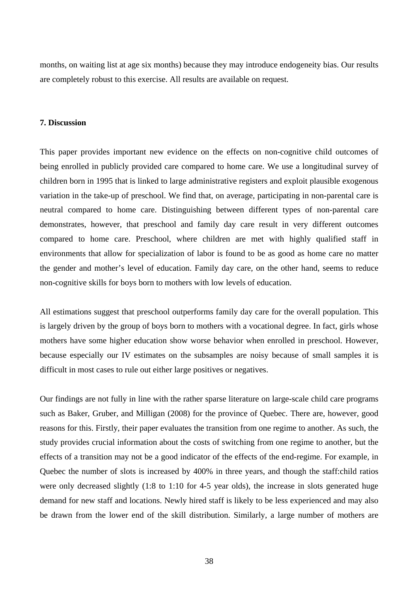months, on waiting list at age six months) because they may introduce endogeneity bias. Our results are completely robust to this exercise. All results are available on request.

## **7. Discussion**

This paper provides important new evidence on the effects on non-cognitive child outcomes of being enrolled in publicly provided care compared to home care. We use a longitudinal survey of children born in 1995 that is linked to large administrative registers and exploit plausible exogenous variation in the take-up of preschool. We find that, on average, participating in non-parental care is neutral compared to home care. Distinguishing between different types of non-parental care demonstrates, however, that preschool and family day care result in very different outcomes compared to home care. Preschool, where children are met with highly qualified staff in environments that allow for specialization of labor is found to be as good as home care no matter the gender and mother's level of education. Family day care, on the other hand, seems to reduce non-cognitive skills for boys born to mothers with low levels of education.

All estimations suggest that preschool outperforms family day care for the overall population. This is largely driven by the group of boys born to mothers with a vocational degree. In fact, girls whose mothers have some higher education show worse behavior when enrolled in preschool. However, because especially our IV estimates on the subsamples are noisy because of small samples it is difficult in most cases to rule out either large positives or negatives.

Our findings are not fully in line with the rather sparse literature on large-scale child care programs such as Baker, Gruber, and Milligan (2008) for the province of Quebec. There are, however, good reasons for this. Firstly, their paper evaluates the transition from one regime to another. As such, the study provides crucial information about the costs of switching from one regime to another, but the effects of a transition may not be a good indicator of the effects of the end-regime. For example, in Quebec the number of slots is increased by 400% in three years, and though the staff:child ratios were only decreased slightly (1:8 to 1:10 for 4-5 year olds), the increase in slots generated huge demand for new staff and locations. Newly hired staff is likely to be less experienced and may also be drawn from the lower end of the skill distribution. Similarly, a large number of mothers are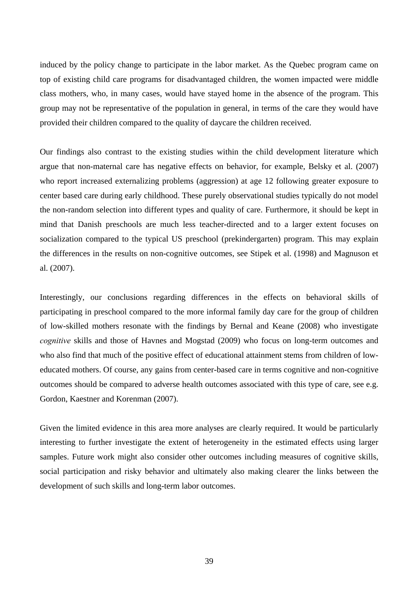induced by the policy change to participate in the labor market. As the Quebec program came on top of existing child care programs for disadvantaged children, the women impacted were middle class mothers, who, in many cases, would have stayed home in the absence of the program. This group may not be representative of the population in general, in terms of the care they would have provided their children compared to the quality of daycare the children received.

Our findings also contrast to the existing studies within the child development literature which argue that non-maternal care has negative effects on behavior, for example, Belsky et al. (2007) who report increased externalizing problems (aggression) at age 12 following greater exposure to center based care during early childhood. These purely observational studies typically do not model the non-random selection into different types and quality of care. Furthermore, it should be kept in mind that Danish preschools are much less teacher-directed and to a larger extent focuses on socialization compared to the typical US preschool (prekindergarten) program. This may explain the differences in the results on non-cognitive outcomes, see Stipek et al. (1998) and Magnuson et al. (2007).

Interestingly, our conclusions regarding differences in the effects on behavioral skills of participating in preschool compared to the more informal family day care for the group of children of low-skilled mothers resonate with the findings by Bernal and Keane (2008) who investigate *cognitive* skills and those of Havnes and Mogstad (2009) who focus on long-term outcomes and who also find that much of the positive effect of educational attainment stems from children of loweducated mothers. Of course, any gains from center-based care in terms cognitive and non-cognitive outcomes should be compared to adverse health outcomes associated with this type of care, see e.g. Gordon, Kaestner and Korenman (2007).

Given the limited evidence in this area more analyses are clearly required. It would be particularly interesting to further investigate the extent of heterogeneity in the estimated effects using larger samples. Future work might also consider other outcomes including measures of cognitive skills, social participation and risky behavior and ultimately also making clearer the links between the development of such skills and long-term labor outcomes.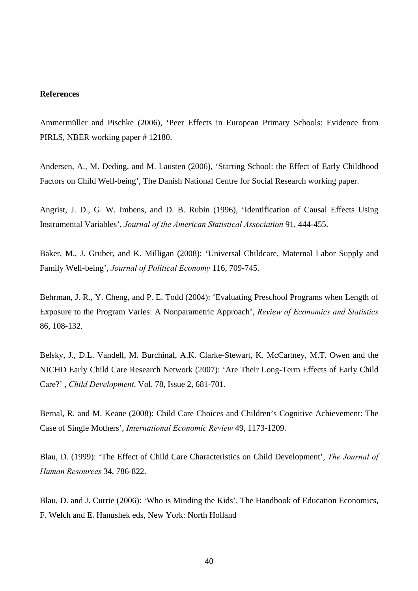#### **References**

Ammermüller and Pischke (2006), 'Peer Effects in European Primary Schools: Evidence from PIRLS, NBER working paper # 12180.

Andersen, A., M. Deding, and M. Lausten (2006), 'Starting School: the Effect of Early Childhood Factors on Child Well-being', The Danish National Centre for Social Research working paper.

Angrist, J. D., G. W. Imbens, and D. B. Rubin (1996), 'Identification of Causal Effects Using Instrumental Variables', *Journal of the American Statistical Association* 91, 444-455.

Baker, M., J. Gruber, and K. Milligan (2008): 'Universal Childcare, Maternal Labor Supply and Family Well-being', *Journal of Political Economy* 116, 709-745.

Behrman, J. R., Y. Cheng, and P. E. Todd (2004): 'Evaluating Preschool Programs when Length of Exposure to the Program Varies: A Nonparametric Approach', *Review of Economics and Statistics*  86, 108-132.

Belsky, J., D.L. Vandell, M. Burchinal, A.K. Clarke-Stewart, K. McCartney, M.T. Owen and the NICHD Early Child Care Research Network (2007): 'Are Their Long-Term Effects of Early Child Care?' , *Child Development*, Vol. 78, Issue 2, 681-701.

Bernal, R. and M. Keane (2008): Child Care Choices and Children's Cognitive Achievement: The Case of Single Mothers', *International Economic Review* 49, 1173-1209.

Blau, D. (1999): 'The Effect of Child Care Characteristics on Child Development', *The Journal of Human Resources* 34, 786-822.

Blau, D. and J. Currie (2006): 'Who is Minding the Kids', The Handbook of Education Economics, F. Welch and E. Hanushek eds, New York: North Holland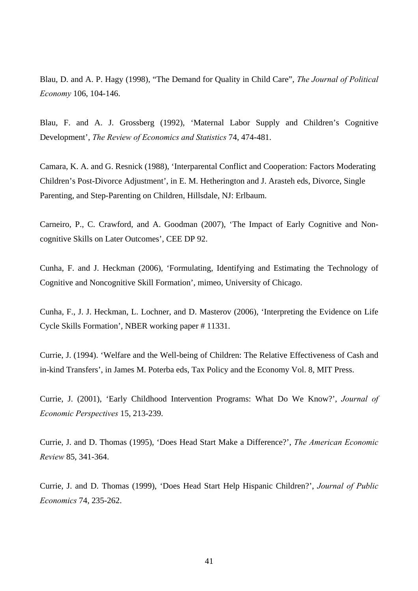Blau, D. and A. P. Hagy (1998), "The Demand for Quality in Child Care", *The Journal of Political Economy* 106, 104-146.

Blau, F. and A. J. Grossberg (1992), 'Maternal Labor Supply and Children's Cognitive Development', *The Review of Economics and Statistics* 74, 474-481.

Camara, K. A. and G. Resnick (1988), 'Interparental Conflict and Cooperation: Factors Moderating Children's Post-Divorce Adjustment', in E. M. Hetherington and J. Arasteh eds, Divorce, Single Parenting, and Step-Parenting on Children, Hillsdale, NJ: Erlbaum.

Carneiro, P., C. Crawford, and A. Goodman (2007), 'The Impact of Early Cognitive and Noncognitive Skills on Later Outcomes', CEE DP 92.

Cunha, F. and J. Heckman (2006), 'Formulating, Identifying and Estimating the Technology of Cognitive and Noncognitive Skill Formation', mimeo, University of Chicago.

Cunha, F., J. J. Heckman, L. Lochner, and D. Masterov (2006), 'Interpreting the Evidence on Life Cycle Skills Formation', NBER working paper # 11331.

Currie, J. (1994). 'Welfare and the Well-being of Children: The Relative Effectiveness of Cash and in-kind Transfers', in James M. Poterba eds, Tax Policy and the Economy Vol. 8, MIT Press.

Currie, J. (2001), 'Early Childhood Intervention Programs: What Do We Know?', *Journal of Economic Perspectives* 15, 213-239.

Currie, J. and D. Thomas (1995), 'Does Head Start Make a Difference?', *The American Economic Review* 85, 341-364.

Currie, J. and D. Thomas (1999), 'Does Head Start Help Hispanic Children?', *Journal of Public Economics* 74, 235-262.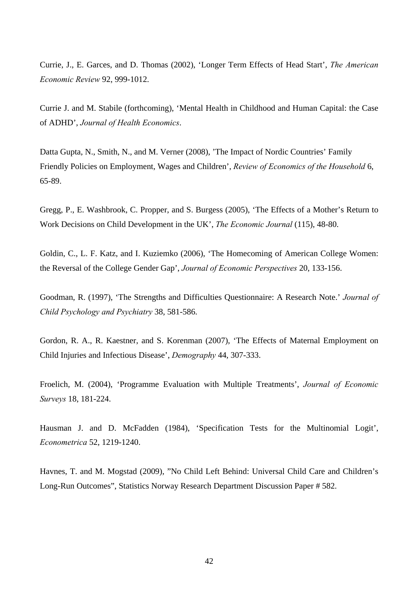Currie, J., E. Garces, and D. Thomas (2002), 'Longer Term Effects of Head Start', *The American Economic Review* 92, 999-1012.

Currie J. and M. Stabile (forthcoming), 'Mental Health in Childhood and Human Capital: the Case of ADHD', *Journal of Health Economics*.

Datta Gupta, N., Smith, N., and M. Verner (2008), 'The Impact of Nordic Countries' Family Friendly Policies on Employment, Wages and Children', *Review of Economics of the Household* 6, 65-89.

Gregg, P., E. Washbrook, C. Propper, and S. Burgess (2005), 'The Effects of a Mother's Return to Work Decisions on Child Development in the UK', *The Economic Journal* (115), 48-80.

Goldin, C., L. F. Katz, and I. Kuziemko (2006), 'The Homecoming of American College Women: the Reversal of the College Gender Gap', *Journal of Economic Perspectives* 20, 133-156.

Goodman, R. (1997), 'The Strengths and Difficulties Questionnaire: A Research Note.' *Journal of Child Psychology and Psychiatry* 38, 581-586.

Gordon, R. A., R. Kaestner, and S. Korenman (2007), 'The Effects of Maternal Employment on Child Injuries and Infectious Disease', *Demography* 44, 307-333.

Froelich, M. (2004), 'Programme Evaluation with Multiple Treatments', *Journal of Economic Surveys* 18, 181-224.

Hausman J. and D. McFadden (1984), 'Specification Tests for the Multinomial Logit', *Econometrica* 52, 1219-1240.

Havnes, T. and M. Mogstad (2009), "No Child Left Behind: Universal Child Care and Children's Long-Run Outcomes", Statistics Norway Research Department Discussion Paper # 582.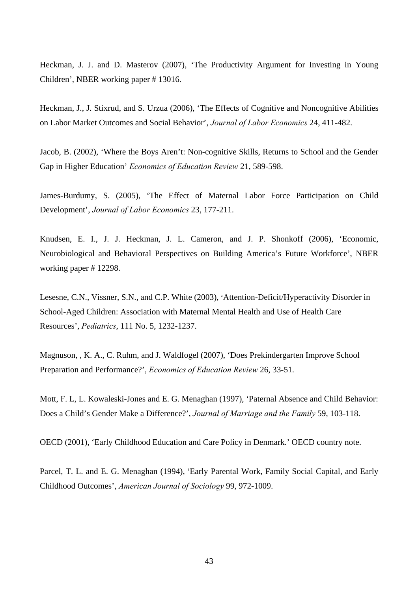Heckman, J. J. and D. Masterov (2007), 'The Productivity Argument for Investing in Young Children', NBER working paper # 13016.

Heckman, J., J. Stixrud, and S. Urzua (2006), 'The Effects of Cognitive and Noncognitive Abilities on Labor Market Outcomes and Social Behavior', *Journal of Labor Economics* 24, 411-482.

Jacob, B. (2002), 'Where the Boys Aren't: Non-cognitive Skills, Returns to School and the Gender Gap in Higher Education' *Economics of Education Review* 21, 589-598.

James-Burdumy, S. (2005), 'The Effect of Maternal Labor Force Participation on Child Development', *Journal of Labor Economics* 23, 177-211.

Knudsen, E. I., J. J. Heckman, J. L. Cameron, and J. P. Shonkoff (2006), 'Economic, Neurobiological and Behavioral Perspectives on Building America's Future Workforce', NBER working paper # 12298.

Lesesne, C.N., Vissner, S.N., and C.P. White (2003), 'Attention-Deficit/Hyperactivity Disorder in School-Aged Children: Association with Maternal Mental Health and Use of Health Care Resources', *Pediatrics*, 111 No. 5, 1232-1237.

Magnuson, , K. A., C. Ruhm, and J. Waldfogel (2007), 'Does Prekindergarten Improve School Preparation and Performance?', *Economics of Education Review* 26, 33-51.

Mott, F. L, L. Kowaleski-Jones and E. G. Menaghan (1997), 'Paternal Absence and Child Behavior: Does a Child's Gender Make a Difference?', *Journal of Marriage and the Family* 59, 103-118.

OECD (2001), 'Early Childhood Education and Care Policy in Denmark.' OECD country note.

Parcel, T. L. and E. G. Menaghan (1994), 'Early Parental Work, Family Social Capital, and Early Childhood Outcomes', *American Journal of Sociology* 99, 972-1009.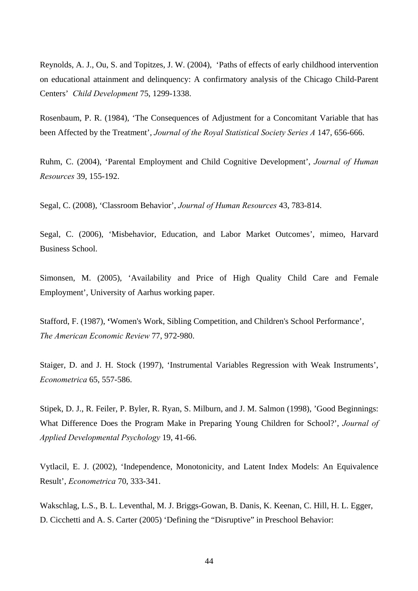Reynolds, A. J., Ou, S. and Topitzes, J. W. (2004), 'Paths of effects of early childhood intervention on educational attainment and delinquency: A confirmatory analysis of the Chicago Child-Parent Centers' *Child Development* 75, 1299-1338.

Rosenbaum, P. R. (1984), 'The Consequences of Adjustment for a Concomitant Variable that has been Affected by the Treatment', *Journal of the Royal Statistical Society Series A* 147, 656-666.

Ruhm, C. (2004), 'Parental Employment and Child Cognitive Development', *Journal of Human Resources* 39, 155-192.

Segal, C. (2008), 'Classroom Behavior', *Journal of Human Resources* 43, 783-814.

Segal, C. (2006), 'Misbehavior, Education, and Labor Market Outcomes', mimeo, Harvard Business School.

Simonsen, M. (2005), 'Availability and Price of High Quality Child Care and Female Employment', University of Aarhus working paper.

Stafford, F. (1987), **'**Women's Work, Sibling Competition, and Children's School Performance', *The American Economic Review* 77, 972-980.

Staiger, D. and J. H. Stock (1997), 'Instrumental Variables Regression with Weak Instruments', *Econometrica* 65, 557-586.

Stipek, D. J., R. Feiler, P. Byler, R. Ryan, S. Milburn, and J. M. Salmon (1998), 'Good Beginnings: What Difference Does the Program Make in Preparing Young Children for School?', *Journal of Applied Developmental Psychology* 19, 41-66.

Vytlacil, E. J. (2002), 'Independence, Monotonicity, and Latent Index Models: An Equivalence Result', *Econometrica* 70, 333-341.

Wakschlag, L.S., B. L. Leventhal, M. J. Briggs-Gowan, B. Danis, K. Keenan, C. Hill, H. L. Egger, D. Cicchetti and A. S. Carter (2005) 'Defining the "Disruptive" in Preschool Behavior: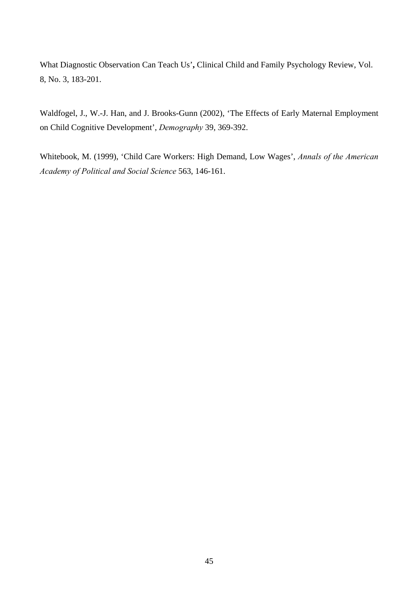What Diagnostic Observation Can Teach Us'**,** Clinical Child and Family Psychology Review, Vol. 8, No. 3, 183-201.

Waldfogel, J., W.-J. Han, and J. Brooks-Gunn (2002), 'The Effects of Early Maternal Employment on Child Cognitive Development', *Demography* 39, 369-392.

Whitebook, M. (1999), 'Child Care Workers: High Demand, Low Wages', *Annals of the American Academy of Political and Social Science* 563, 146-161.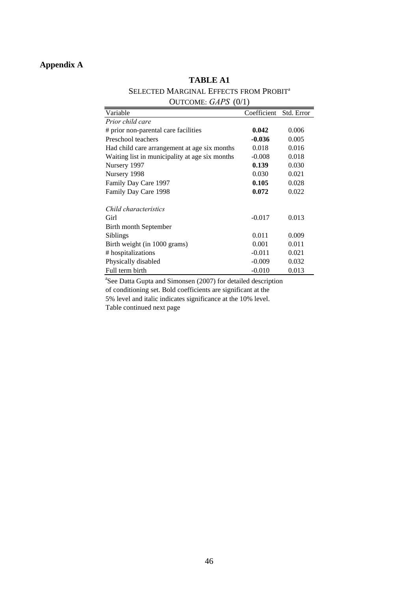## **Appendix A**

| Variable                                       | Coefficient Std. Error |       |  |  |  |
|------------------------------------------------|------------------------|-------|--|--|--|
| Prior child care                               |                        |       |  |  |  |
| # prior non-parental care facilities           | 0.042                  | 0.006 |  |  |  |
| Preschool teachers                             | $-0.036$               | 0.005 |  |  |  |
| Had child care arrangement at age six months   | 0.018                  | 0.016 |  |  |  |
| Waiting list in municipality at age six months | $-0.008$               | 0.018 |  |  |  |
| Nursery 1997                                   | 0.139                  | 0.030 |  |  |  |
| Nursery 1998                                   | 0.030                  | 0.021 |  |  |  |
| Family Day Care 1997                           | 0.105                  | 0.028 |  |  |  |
| Family Day Care 1998                           | 0.072                  | 0.022 |  |  |  |
| Child characteristics                          |                        |       |  |  |  |
| Girl                                           | $-0.017$               | 0.013 |  |  |  |
| Birth month September                          |                        |       |  |  |  |
| <b>Siblings</b>                                | 0.011                  | 0.009 |  |  |  |
| Birth weight (in 1000 grams)                   | 0.001                  | 0.011 |  |  |  |
| # hospitalizations                             | $-0.011$               | 0.021 |  |  |  |
| Physically disabled                            | $-0.009$               | 0.032 |  |  |  |
| Full term birth                                | $-0.010$               | 0.013 |  |  |  |

## **TABLE A1**

SELECTED MARGINAL EFFECTS FROM PROBIT<sup>a</sup>

OUTCOME: *GAPS* (0/1)

<sup>a</sup>See Datta Gupta and Simonsen (2007) for detailed description of conditioning set. Bold coefficients are significant at the 5% level and italic indicates significance at the 10% level.

Table continued next page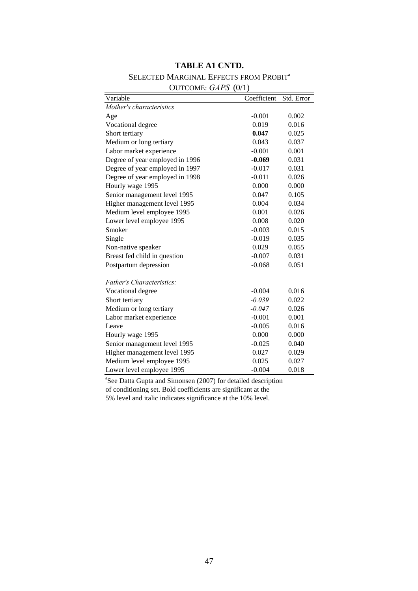| Variable                         | Coefficient | Std. Error |
|----------------------------------|-------------|------------|
| Mother's characteristics         |             |            |
| Age                              | $-0.001$    | 0.002      |
| Vocational degree                | 0.019       | 0.016      |
| Short tertiary                   | 0.047       | 0.025      |
| Medium or long tertiary          | 0.043       | 0.037      |
| Labor market experience          | $-0.001$    | 0.001      |
| Degree of year employed in 1996  | $-0.069$    | 0.031      |
| Degree of year employed in 1997  | $-0.017$    | 0.031      |
| Degree of year employed in 1998  | $-0.011$    | 0.026      |
| Hourly wage 1995                 | 0.000       | 0.000      |
| Senior management level 1995     | 0.047       | 0.105      |
| Higher management level 1995     | 0.004       | 0.034      |
| Medium level employee 1995       | 0.001       | 0.026      |
| Lower level employee 1995        | 0.008       | 0.020      |
| Smoker                           | $-0.003$    | 0.015      |
| Single                           | $-0.019$    | 0.035      |
| Non-native speaker               | 0.029       | 0.055      |
| Breast fed child in question     | $-0.007$    | 0.031      |
| Postpartum depression            | $-0.068$    | 0.051      |
| <b>Father's Characteristics:</b> |             |            |
| Vocational degree                | $-0.004$    | 0.016      |
| Short tertiary                   | $-0.039$    | 0.022      |
| Medium or long tertiary          | $-0.047$    | 0.026      |
| Labor market experience          | $-0.001$    | 0.001      |
| Leave                            | $-0.005$    | 0.016      |
| Hourly wage 1995                 | 0.000       | 0.000      |
| Senior management level 1995     | $-0.025$    | 0.040      |
| Higher management level 1995     | 0.027       | 0.029      |
| Medium level employee 1995       | 0.025       | 0.027      |
| Lower level employee 1995        | $-0.004$    | 0.018      |

## **TABLE A1 CNTD.** SELECTED MARGINAL EFFECTS FROM PROBIT<sup>a</sup> OUTCOME: *GAPS* (0/1)

<sup>a</sup>See Datta Gupta and Simonsen (2007) for detailed description of conditioning set. Bold coefficients are significant at the 5% level and italic indicates significance at the 10% level.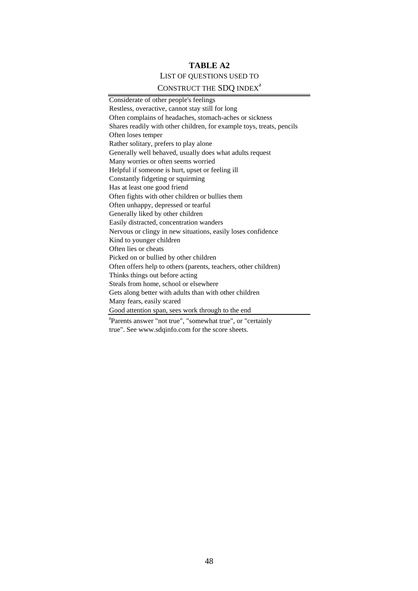## **TABLE A2**

## LIST OF QUESTIONS USED TO

## CONSTRUCT THE SDQ INDEX<sup>a</sup>

Considerate of other people's feelings Restless, overactive, cannot stay still for long Often complains of headaches, stomach-aches or sickness Shares readily with other children, for example toys, treats, pencils Often loses temper Rather solitary, prefers to play alone Generally well behaved, usually does what adults request Many worries or often seems worried Helpful if someone is hurt, upset or feeling ill Constantly fidgeting or squirming Has at least one good friend Often fights with other children or bullies them Often unhappy, depressed or tearful Generally liked by other children Easily distracted, concentration wanders Nervous or clingy in new situations, easily loses confidence Kind to younger children Often lies or cheats Picked on or bullied by other children Often offers help to others (parents, teachers, other children) Thinks things out before acting Steals from home, school or elsewhere Gets along better with adults than with other children Many fears, easily scared Good attention span, sees work through to the end

<sup>a</sup>Parents answer "not true", "somewhat true", or "certainly true". See www.sdqinfo.com for the score sheets.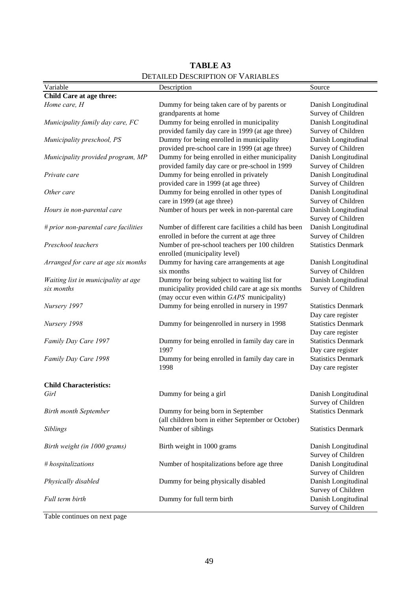| Variable                             | Description                                          | Source                    |
|--------------------------------------|------------------------------------------------------|---------------------------|
| Child Care at age three:             |                                                      |                           |
| Home care, H                         | Dummy for being taken care of by parents or          | Danish Longitudinal       |
|                                      | grandparents at home                                 | Survey of Children        |
| Municipality family day care, FC     | Dummy for being enrolled in municipality             | Danish Longitudinal       |
|                                      | provided family day care in 1999 (at age three)      | Survey of Children        |
| Municipality preschool, PS           | Dummy for being enrolled in municipality             | Danish Longitudinal       |
|                                      | provided pre-school care in 1999 (at age three)      | Survey of Children        |
| Municipality provided program, MP    | Dummy for being enrolled in either municipality      | Danish Longitudinal       |
|                                      | provided family day care or pre-school in 1999       | Survey of Children        |
| Private care                         | Dummy for being enrolled in privately                | Danish Longitudinal       |
|                                      | provided care in 1999 (at age three)                 | Survey of Children        |
| Other care                           | Dummy for being enrolled in other types of           | Danish Longitudinal       |
|                                      | care in 1999 (at age three)                          | Survey of Children        |
| Hours in non-parental care           | Number of hours per week in non-parental care        | Danish Longitudinal       |
|                                      |                                                      | Survey of Children        |
| # prior non-parental care facilities | Number of different care facilities a child has been | Danish Longitudinal       |
|                                      | enrolled in before the current at age three          | Survey of Children        |
| Preschool teachers                   | Number of pre-school teachers per 100 children       | <b>Statistics Denmark</b> |
|                                      | enrolled (municipality level)                        |                           |
| Arranged for care at age six months  | Dummy for having care arrangements at age            | Danish Longitudinal       |
|                                      | six months                                           | Survey of Children        |
| Waiting list in municipality at age  | Dummy for being subject to waiting list for          | Danish Longitudinal       |
| six months                           | municipality provided child care at age six months   | Survey of Children        |
|                                      | (may occur even within GAPS municipality)            |                           |
| Nursery 1997                         | Dummy for being enrolled in nursery in 1997          | <b>Statistics Denmark</b> |
|                                      |                                                      | Day care register         |
| Nursery 1998                         | Dummy for beingenrolled in nursery in 1998           | <b>Statistics Denmark</b> |
|                                      |                                                      | Day care register         |
| Family Day Care 1997                 | Dummy for being enrolled in family day care in       | <b>Statistics Denmark</b> |
|                                      | 1997                                                 | Day care register         |
| Family Day Care 1998                 | Dummy for being enrolled in family day care in       | <b>Statistics Denmark</b> |
|                                      | 1998                                                 | Day care register         |
|                                      |                                                      |                           |
| <b>Child Characteristics:</b>        |                                                      |                           |
| Girl                                 | Dummy for being a girl                               | Danish Longitudinal       |
|                                      |                                                      | Survey of Children        |
| <b>Birth month September</b>         | Dummy for being born in September                    | <b>Statistics Denmark</b> |
|                                      | (all children born in either September or October)   |                           |
| Siblings                             | Number of siblings                                   | <b>Statistics Denmark</b> |
|                                      |                                                      |                           |
| Birth weight (in 1000 grams)         | Birth weight in 1000 grams                           | Danish Longitudinal       |
|                                      |                                                      | Survey of Children        |
| # hospitalizations                   | Number of hospitalizations before age three          | Danish Longitudinal       |
|                                      |                                                      | Survey of Children        |
| Physically disabled                  | Dummy for being physically disabled                  | Danish Longitudinal       |
|                                      |                                                      | Survey of Children        |
| Full term birth                      | Dummy for full term birth                            | Danish Longitudinal       |
|                                      |                                                      | Survey of Children        |

## DETAILED DESCRIPTION OF VARIABLES **TABLE A3**

Table continues on next page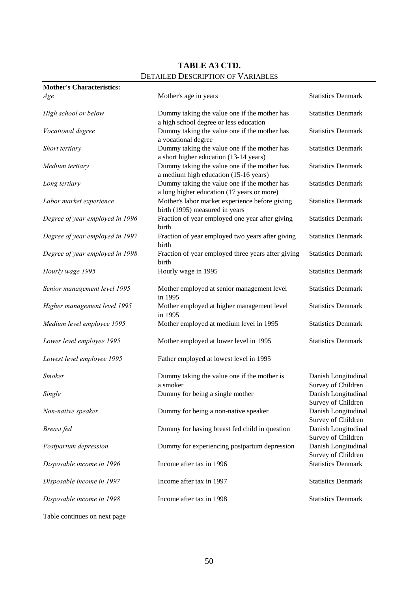| <b>Mother's Characteristics:</b> |                                                                                            |                                           |
|----------------------------------|--------------------------------------------------------------------------------------------|-------------------------------------------|
| Age                              | Mother's age in years                                                                      | <b>Statistics Denmark</b>                 |
| High school or below             | Dummy taking the value one if the mother has<br>a high school degree or less education     | <b>Statistics Denmark</b>                 |
| Vocational degree                | Dummy taking the value one if the mother has<br>a vocational degree                        | <b>Statistics Denmark</b>                 |
| Short tertiary                   | Dummy taking the value one if the mother has<br>a short higher education (13-14 years)     | <b>Statistics Denmark</b>                 |
| Medium tertiary                  | Dummy taking the value one if the mother has<br>a medium high education (15-16 years)      | <b>Statistics Denmark</b>                 |
| Long tertiary                    | Dummy taking the value one if the mother has<br>a long higher education (17 years or more) | <b>Statistics Denmark</b>                 |
| Labor market experience          | Mother's labor market experience before giving<br>birth (1995) measured in years           | <b>Statistics Denmark</b>                 |
| Degree of year employed in 1996  | Fraction of year employed one year after giving<br>birth                                   | <b>Statistics Denmark</b>                 |
| Degree of year employed in 1997  | Fraction of year employed two years after giving<br>birth                                  | <b>Statistics Denmark</b>                 |
| Degree of year employed in 1998  | Fraction of year employed three years after giving<br>birth                                | <b>Statistics Denmark</b>                 |
| Hourly wage 1995                 | Hourly wage in 1995                                                                        | <b>Statistics Denmark</b>                 |
| Senior management level 1995     | Mother employed at senior management level<br>in 1995                                      | <b>Statistics Denmark</b>                 |
| Higher management level 1995     | Mother employed at higher management level<br>in 1995                                      | <b>Statistics Denmark</b>                 |
| Medium level employee 1995       | Mother employed at medium level in 1995                                                    | <b>Statistics Denmark</b>                 |
| Lower level employee 1995        | Mother employed at lower level in 1995                                                     | <b>Statistics Denmark</b>                 |
| Lowest level employee 1995       | Father employed at lowest level in 1995                                                    |                                           |
| Smoker                           | Dummy taking the value one if the mother is<br>a smoker                                    | Danish Longitudinal<br>Survey of Children |
| Single                           | Dummy for being a single mother                                                            | Danish Longitudinal<br>Survey of Children |
| Non-native speaker               | Dummy for being a non-native speaker                                                       | Danish Longitudinal<br>Survey of Children |
| <b>Breast</b> fed                | Dummy for having breast fed child in question                                              | Danish Longitudinal<br>Survey of Children |
| Postpartum depression            | Dummy for experiencing postpartum depression                                               | Danish Longitudinal<br>Survey of Children |
| Disposable income in 1996        | Income after tax in 1996                                                                   | <b>Statistics Denmark</b>                 |
| Disposable income in 1997        | Income after tax in 1997                                                                   | <b>Statistics Denmark</b>                 |
| Disposable income in 1998        | Income after tax in 1998                                                                   | <b>Statistics Denmark</b>                 |

## DETAILED DESCRIPTION OF VARIABLES **TABLE A3 CTD.**

Table continues on next page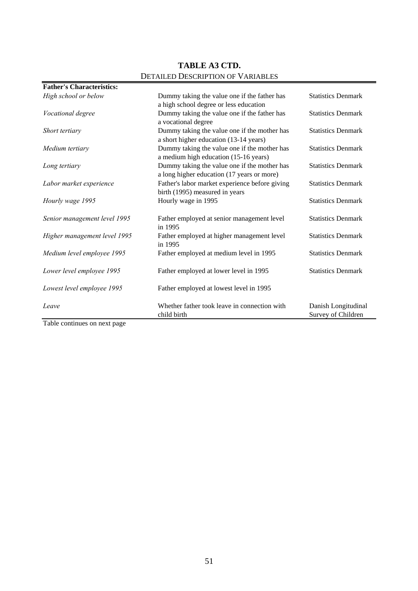| <b>Father's Characteristics:</b> |                                                                                            |                                           |
|----------------------------------|--------------------------------------------------------------------------------------------|-------------------------------------------|
| High school or below             | Dummy taking the value one if the father has<br>a high school degree or less education     | <b>Statistics Denmark</b>                 |
| Vocational degree                | Dummy taking the value one if the father has<br>a vocational degree                        | <b>Statistics Denmark</b>                 |
| Short tertiary                   | Dummy taking the value one if the mother has<br>a short higher education (13-14 years)     | <b>Statistics Denmark</b>                 |
| Medium tertiary                  | Dummy taking the value one if the mother has<br>a medium high education (15-16 years)      | <b>Statistics Denmark</b>                 |
| Long tertiary                    | Dummy taking the value one if the mother has<br>a long higher education (17 years or more) | <b>Statistics Denmark</b>                 |
| Labor market experience          | Father's labor market experience before giving<br>birth (1995) measured in years           | <b>Statistics Denmark</b>                 |
| Hourly wage 1995                 | Hourly wage in 1995                                                                        | <b>Statistics Denmark</b>                 |
| Senior management level 1995     | Father employed at senior management level<br>in 1995                                      | <b>Statistics Denmark</b>                 |
| Higher management level 1995     | Father employed at higher management level<br>in 1995                                      | <b>Statistics Denmark</b>                 |
| Medium level employee 1995       | Father employed at medium level in 1995                                                    | <b>Statistics Denmark</b>                 |
| Lower level employee 1995        | Father employed at lower level in 1995                                                     | <b>Statistics Denmark</b>                 |
| Lowest level employee 1995       | Father employed at lowest level in 1995                                                    |                                           |
| Leave                            | Whether father took leave in connection with<br>child birth                                | Danish Longitudinal<br>Survey of Children |

## **TABLE A3 CTD.** DETAILED DESCRIPTION OF VARIABLES

Table continues on next page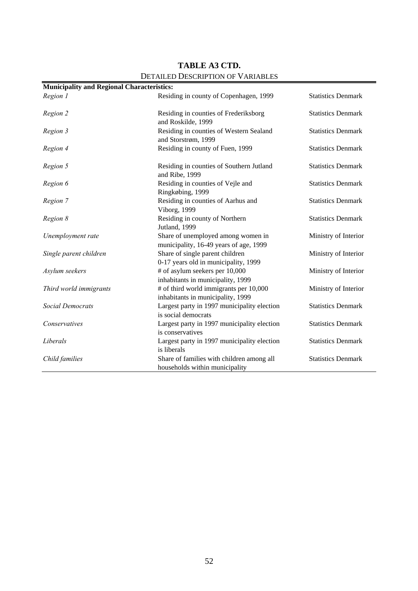| <b>Municipality and Regional Characteristics:</b> |                                                                              |                           |  |
|---------------------------------------------------|------------------------------------------------------------------------------|---------------------------|--|
| Region 1                                          | Residing in county of Copenhagen, 1999                                       | <b>Statistics Denmark</b> |  |
| Region 2                                          | Residing in counties of Frederiksborg<br>and Roskilde, 1999                  | <b>Statistics Denmark</b> |  |
| Region 3                                          | Residing in counties of Western Sealand<br>and Storstrøm, 1999               | <b>Statistics Denmark</b> |  |
| Region 4                                          | Residing in county of Fuen, 1999                                             | <b>Statistics Denmark</b> |  |
| Region 5                                          | Residing in counties of Southern Jutland<br>and Ribe, 1999                   | <b>Statistics Denmark</b> |  |
| Region 6                                          | Residing in counties of Vejle and<br>Ringkøbing, 1999                        | <b>Statistics Denmark</b> |  |
| Region 7                                          | Residing in counties of Aarhus and<br>Viborg, 1999                           | <b>Statistics Denmark</b> |  |
| Region 8                                          | Residing in county of Northern<br>Jutland, 1999                              | <b>Statistics Denmark</b> |  |
| Unemployment rate                                 | Share of unemployed among women in<br>municipality, 16-49 years of age, 1999 | Ministry of Interior      |  |
| Single parent children                            | Share of single parent children<br>0-17 years old in municipality, 1999      | Ministry of Interior      |  |
| Asylum seekers                                    | # of asylum seekers per 10,000<br>inhabitants in municipality, 1999          | Ministry of Interior      |  |
| Third world immigrants                            | # of third world immigrants per 10,000<br>inhabitants in municipality, 1999  | Ministry of Interior      |  |
| <b>Social Democrats</b>                           | Largest party in 1997 municipality election<br>is social democrats           | <b>Statistics Denmark</b> |  |
| Conservatives                                     | Largest party in 1997 municipality election<br>is conservatives              | <b>Statistics Denmark</b> |  |
| Liberals                                          | Largest party in 1997 municipality election<br>is liberals                   | <b>Statistics Denmark</b> |  |
| Child families                                    | Share of families with children among all<br>households within municipality  | <b>Statistics Denmark</b> |  |

**TABLE A3 CTD.** DETAILED DESCRIPTION OF VARIABLES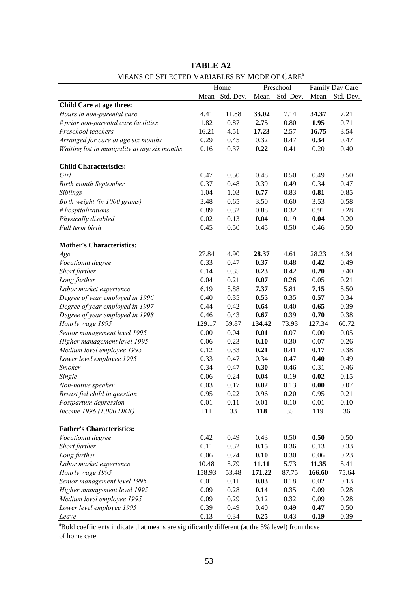|                                              | Home   |                | Preschool |           | Family Day Care |           |
|----------------------------------------------|--------|----------------|-----------|-----------|-----------------|-----------|
|                                              |        | Mean Std. Dev. | Mean      | Std. Dev. | Mean            | Std. Dev. |
| Child Care at age three:                     |        |                |           |           |                 |           |
| Hours in non-parental care                   | 4.41   | 11.88          | 33.02     | 7.14      | 34.37           | 7.21      |
| # prior non-parental care facilities         | 1.82   | 0.87           | 2.75      | 0.80      | 1.95            | 0.71      |
| Preschool teachers                           | 16.21  | 4.51           | 17.23     | 2.57      | 16.75           | 3.54      |
| Arranged for care at age six months          | 0.29   | 0.45           | 0.32      | 0.47      | 0.34            | 0.47      |
| Waiting list in munipality at age six months | 0.16   | 0.37           | 0.22      | 0.41      | 0.20            | 0.40      |
|                                              |        |                |           |           |                 |           |
| <b>Child Characteristics:</b>                |        |                |           |           |                 |           |
| Girl                                         | 0.47   | 0.50           | 0.48      | 0.50      | 0.49            | 0.50      |
| <b>Birth month September</b>                 | 0.37   | 0.48           | 0.39      | 0.49      | 0.34            | 0.47      |
| Siblings                                     | 1.04   | 1.03           | 0.77      | 0.83      | 0.81            | 0.85      |
| Birth weight (in 1000 grams)                 | 3.48   | 0.65           | 3.50      | 0.60      | 3.53            | 0.58      |
| # hospitalizations                           | 0.89   | 0.32           | 0.88      | 0.32      | 0.91            | 0.28      |
| Physically disabled                          | 0.02   | 0.13           | 0.04      | 0.19      | 0.04            | 0.20      |
| Full term birth                              | 0.45   | 0.50           | 0.45      | 0.50      | 0.46            | 0.50      |
|                                              |        |                |           |           |                 |           |
| <b>Mother's Characteristics:</b>             |        |                |           |           |                 |           |
| Age                                          | 27.84  | 4.90           | 28.37     | 4.61      | 28.23           | 4.34      |
| Vocational degree                            | 0.33   | 0.47           | 0.37      | 0.48      | 0.42            | 0.49      |
| Short further                                | 0.14   | 0.35           | 0.23      | 0.42      | 0.20            | 0.40      |
| Long further                                 | 0.04   | 0.21           | 0.07      | 0.26      | 0.05            | 0.21      |
| Labor market experience                      | 6.19   | 5.88           | 7.37      | 5.81      | 7.15            | 5.50      |
| Degree of year employed in 1996              | 0.40   | 0.35           | 0.55      | 0.35      | 0.57            | 0.34      |
| Degree of year employed in 1997              | 0.44   | 0.42           | 0.64      | 0.40      | 0.65            | 0.39      |
| Degree of year employed in 1998              | 0.46   | 0.43           | 0.67      | 0.39      | 0.70            | 0.38      |
| Hourly wage 1995                             | 129.17 | 59.87          | 134.42    | 73.93     | 127.34          | 60.72     |
| Senior management level 1995                 | 0.00   | 0.04           | 0.01      | 0.07      | 0.00            | 0.05      |
| Higher management level 1995                 | 0.06   | 0.23           | 0.10      | 0.30      | 0.07            | 0.26      |
| Medium level employee 1995                   | 0.12   | 0.33           | 0.21      | 0.41      | 0.17            | 0.38      |
| Lower level employee 1995                    | 0.33   | 0.47           | 0.34      | 0.47      | 0.40            | 0.49      |
| Smoker                                       | 0.34   | 0.47           | 0.30      | 0.46      | 0.31            | 0.46      |
| Single                                       | 0.06   | 0.24           | 0.04      | 0.19      | 0.02            | 0.15      |
| Non-native speaker                           | 0.03   | 0.17           | 0.02      | 0.13      | 0.00            | 0.07      |
| Breast fed child in question                 | 0.95   | 0.22           | 0.96      | 0.20      | 0.95            | 0.21      |
| Postpartum depression                        | 0.01   | 0.11           | 0.01      | 0.10      | 0.01            | 0.10      |
| Income 1996 (1,000 DKK)                      | 111    | 33             | 118       | 35        | 119             | 36        |
|                                              |        |                |           |           |                 |           |
| <b>Father's Characteristics:</b>             |        |                |           |           |                 |           |
| Vocational degree                            | 0.42   | 0.49           | 0.43      | 0.50      | 0.50            | 0.50      |
| Short further                                | 0.11   | 0.32           | 0.15      | 0.36      | 0.13            | 0.33      |
| Long further                                 | 0.06   | 0.24           | 0.10      | 0.30      | 0.06            | 0.23      |
| Labor market experience                      | 10.48  | 5.79           | 11.11     | 5.73      | 11.35           | 5.41      |
| Hourly wage 1995                             | 158.93 | 53.48          | 171.22    | 87.75     | 166.60          | 75.64     |
| Senior management level 1995                 | 0.01   | 0.11           | 0.03      | 0.18      | 0.02            | 0.13      |
| Higher management level 1995                 | 0.09   | 0.28           | 0.14      | 0.35      | 0.09            | 0.28      |
| Medium level employee 1995                   | 0.09   | 0.29           | 0.12      | 0.32      | 0.09            | 0.28      |
| Lower level employee 1995                    | 0.39   | 0.49           | 0.40      | 0.49      | 0.47            | 0.50      |
| Leave                                        | 0.13   | 0.34           | 0.25      | 0.43      | 0.19            | 0.39      |

**TABLE A2** MEANS OF SELECTED VARIABLES BY MODE OF CARE<sup>a</sup>

<sup>a</sup>Bold coefficients indicate that means are significantly different (at the 5% level) from those of home care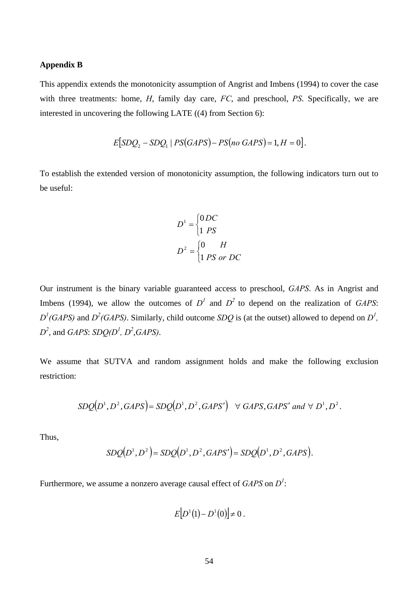#### **Appendix B**

This appendix extends the monotonicity assumption of Angrist and Imbens (1994) to cover the case with three treatments: home, *H*, family day care, *FC*, and preschool, *PS*. Specifically, we are interested in uncovering the following LATE ((4) from Section 6):

$$
E[SDQ2 - SDQ1 | PS(GAPS) - PS(no GAPS) = 1, H = 0].
$$

To establish the extended version of monotonicity assumption, the following indicators turn out to be useful:

$$
D^{1} = \begin{cases} 0 \, DC \\ 1 \, PS \\ D^{2} = \begin{cases} 0 & H \\ 1 \, PS \, or \, DC \end{cases} \end{cases}
$$

Our instrument is the binary variable guaranteed access to preschool, *GAPS*. As in Angrist and Imbens (1994), we allow the outcomes of  $D^1$  and  $D^2$  to depend on the realization of *GAPS*:  $D^1(GAPS)$  and  $D^2(GAPS)$ . Similarly, child outcome *SDQ* is (at the outset) allowed to depend on  $D^1$ ,  $D^2$ , and *GAPS*: *SDQ(D<sup>1</sup>*, *D<sup>2</sup>,GAPS)*.

We assume that SUTVA and random assignment holds and make the following exclusion restriction:

$$
SDQ(D1, D2, GAPS) = SDQ(D1, D2, GAPS') \forall GAPS, GAPS' \text{ and } \forall D1, D2.
$$

Thus,

$$
SDQ(D^1, D^2) = SDQ(D^1, D^2, GAPS') = SDQ(D^1, D^2, GAPS).
$$

Furthermore, we assume a nonzero average causal effect of  $GAPS$  on  $D<sup>1</sup>$ :

$$
E[D^1(1)-D^1(0)] \neq 0.
$$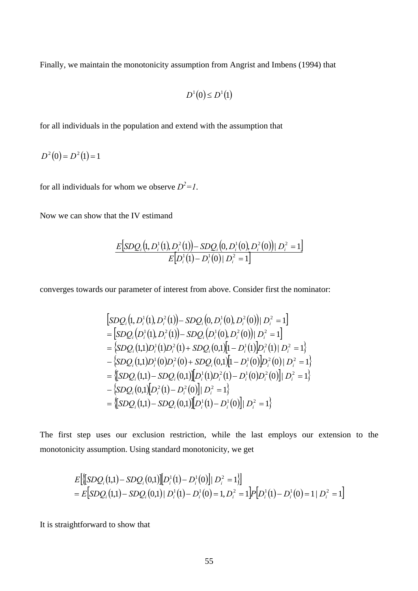Finally, we maintain the monotonicity assumption from Angrist and Imbens (1994) that

$$
D^1(0) \le D^1(1)
$$

for all individuals in the population and extend with the assumption that

 $D^{2}(0) = D^{2}(1) = 1$ 

for all individuals for whom we observe  $D^2 = I$ .

Now we can show that the IV estimand

$$
\frac{E[SDQ_i\big(1, D_i^1(1), D_i^2(1)\big) - SDQ_i\big(0, D_i^1(0), D_i^2(0)\big)|D_i^2 = 1]}{E[D_i^1(1) - D_i^1(0)|D_i^2 = 1]}
$$

converges towards our parameter of interest from above. Consider first the nominator:

$$
\begin{aligned} & \left[ SDQ_i\big(1, D_i^1(1), D_i^2(1)\big) - SDQ_i\big(0, D_i^1(0), D_i^2(0)\big) \right| D_i^2 = 1 \right] \\ & = \left[ SDQ_i\big(D_i^1(1), D_i^2(1)\big) - SDQ_i\big(D_i^1(0), D_i^2(0)\big) \right| D_i^2 = 1 \right] \\ & = \left\{ SDQ_i\big(1, 1\big) D_i^1(1) D_i^2(1) + SDQ_i(0, 1)[1 - D_i^1(1)]D_i^2(1) \right| D_i^2 = 1 \right\} \\ & - \left\{ SDQ_i\big(1, 1\big) D_i^1(0) D_i^2(0) + SDQ_i(0, 1)[1 - D_i^1(0)]D_i^2(0) \right| D_i^2 = 1 \right\} \\ & = \left\{ SDQ_i(1, 1) - SDQ_i(0, 1)][D_i^1(1)D_i^2(1) - D_i^1(0)D_i^2(0)] \right| D_i^2 = 1 \right\} \\ & - \left\{ SDQ_i(0, 1)[D_i^2(1) - D_i^2(0)] \right| D_i^2 = 1 \right\} \\ & = \left\{ SDQ_i(1, 1) - SDQ_i(0, 1)][D_i^1(1) - D_i^1(0)] \right| D_i^2 = 1 \right\} \\ & = \left\{ SDQ_i(1, 1) - SDQ_i(0, 1)][D_i^1(1) - D_i^1(0)] \right| D_i^2 = 1 \right\} \end{aligned}
$$

The first step uses our exclusion restriction, while the last employs our extension to the monotonicity assumption. Using standard monotonicity, we get

$$
E\big[\big\{[SDQ_i(1,1) - SDQ_i(0,1)][D_i^1(1) - D_i^1(0)] | D_i^2 = 1\big\}\big]
$$
  
=  $E\big[SDQ_i(1,1) - SDQ_i(0,1)| D_i^1(1) - D_i^1(0) = 1, D_i^2 = 1\big]P[D_i^1(1) - D_i^1(0) = 1 | D_i^2 = 1]$ 

It is straightforward to show that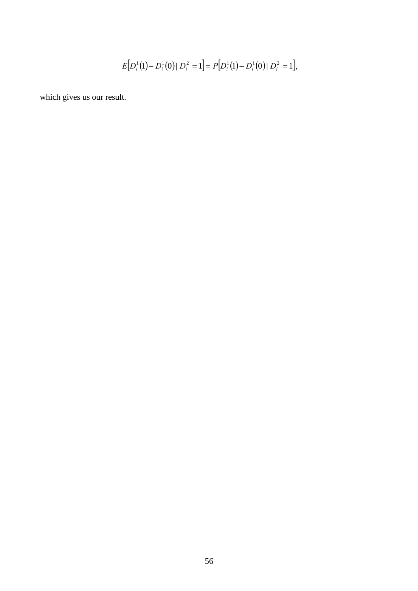$$
E[D_i^1(1) - D_i^1(0) | D_i^2 = 1] = P[D_i^1(1) - D_i^1(0) | D_i^2 = 1],
$$

which gives us our result.